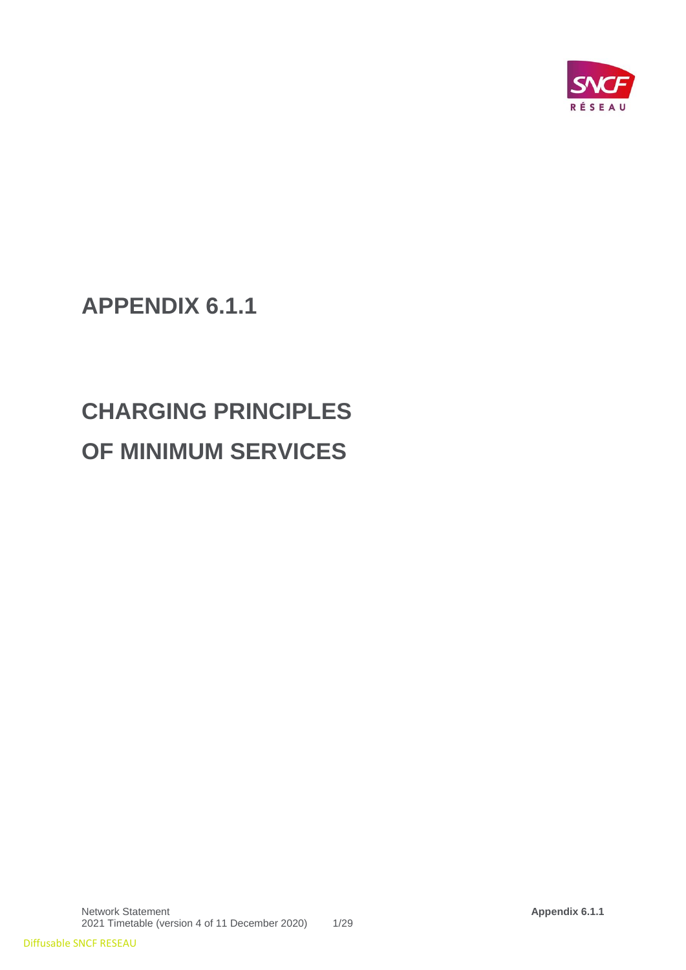

**APPENDIX 6.1.1**

# **CHARGING PRINCIPLES OF MINIMUM SERVICES**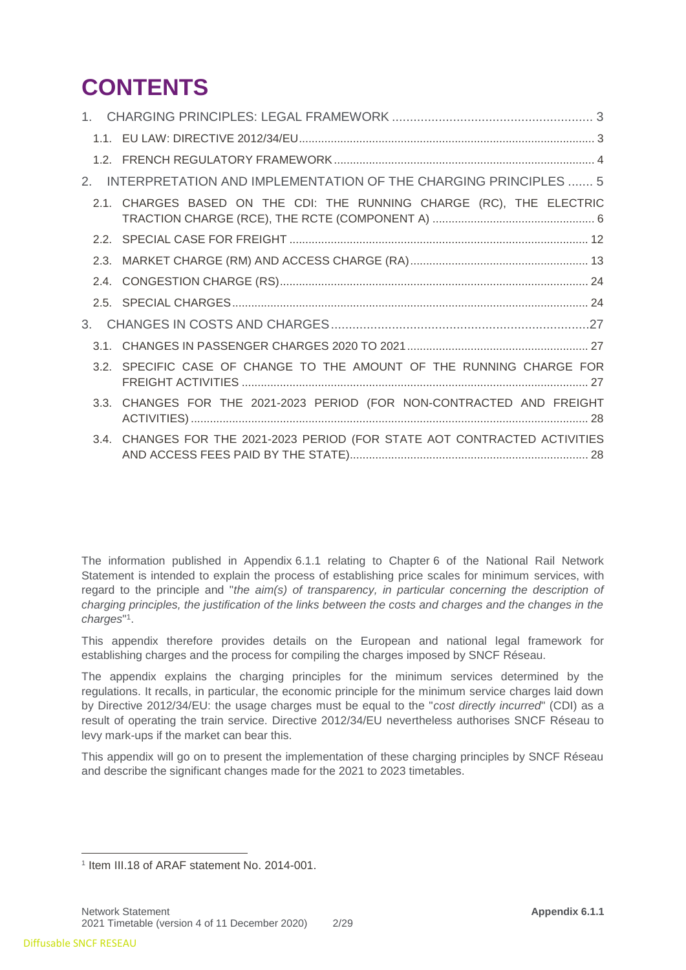# **CONTENTS**

| 2.             | INTERPRETATION AND IMPLEMENTATION OF THE CHARGING PRINCIPLES  5            |
|----------------|----------------------------------------------------------------------------|
|                | 2.1. CHARGES BASED ON THE CDI: THE RUNNING CHARGE (RC), THE ELECTRIC       |
|                |                                                                            |
|                |                                                                            |
|                |                                                                            |
|                |                                                                            |
| 3 <sub>1</sub> |                                                                            |
|                |                                                                            |
|                | 3.2. SPECIFIC CASE OF CHANGE TO THE AMOUNT OF THE RUNNING CHARGE FOR       |
|                | 3.3. CHANGES FOR THE 2021-2023 PERIOD (FOR NON-CONTRACTED AND FREIGHT      |
|                | 3.4. CHANGES FOR THE 2021-2023 PERIOD (FOR STATE AOT CONTRACTED ACTIVITIES |

The information published in Appendix 6.1.1 relating to Chapter 6 of the National Rail Network Statement is intended to explain the process of establishing price scales for minimum services, with regard to the principle and "*the aim(s) of transparency, in particular concerning the description of charging principles, the justification of the links between the costs and charges and the changes in the charges*" 1 .

This appendix therefore provides details on the European and national legal framework for establishing charges and the process for compiling the charges imposed by SNCF Réseau.

The appendix explains the charging principles for the minimum services determined by the regulations. It recalls, in particular, the economic principle for the minimum service charges laid down by Directive 2012/34/EU: the usage charges must be equal to the "*cost directly incurred*" (CDI) as a result of operating the train service. Directive 2012/34/EU nevertheless authorises SNCF Réseau to levy mark-ups if the market can bear this.

This appendix will go on to present the implementation of these charging principles by SNCF Réseau and describe the significant changes made for the 2021 to 2023 timetables.

 1 Item III.18 of ARAF statement No. 2014-001.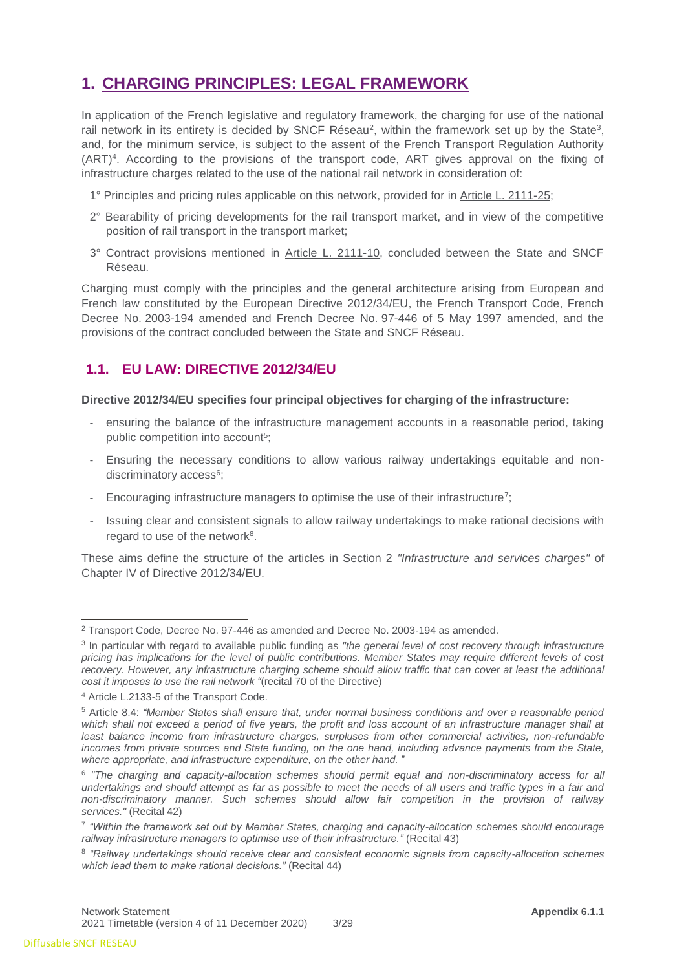# <span id="page-2-0"></span>**1. CHARGING PRINCIPLES: LEGAL FRAMEWORK**

In application of the French legislative and regulatory framework, the charging for use of the national rail network in its entirety is decided by SNCF Réseau<sup>2</sup>, within the framework set up by the State<sup>3</sup>, and, for the minimum service, is subject to the assent of the French Transport Regulation Authority (ART)<sup>4</sup> . According to the provisions of the transport code, ART gives approval on the fixing of infrastructure charges related to the use of the national rail network in consideration of:

- 1° Principles and pricing rules applicable on this network, provided for in [Article L. 2111-25;](https://www.legifrance.gouv.fr/affichCodeArticle.do?cidTexte=LEGITEXT000023086525&idArticle=LEGIARTI000031008285&dateTexte=&categorieLien=id)
- 2° Bearability of pricing developments for the rail transport market, and in view of the competitive position of rail transport in the transport market;
- 3° Contract provisions mentioned in [Article L. 2111-10,](https://www.legifrance.gouv.fr/affichCodeArticle.do?cidTexte=LEGITEXT000023086525&idArticle=LEGIARTI000023070267&dateTexte=&categorieLien=cid) concluded between the State and SNCF Réseau.

Charging must comply with the principles and the general architecture arising from European and French law constituted by the European Directive 2012/34/EU, the French Transport Code, French Decree No. 2003-194 amended and French Decree No. 97-446 of 5 May 1997 amended, and the provisions of the contract concluded between the State and SNCF Réseau.

## <span id="page-2-1"></span>**1.1. EU LAW: DIRECTIVE 2012/34/EU**

#### **Directive 2012/34/EU specifies four principal objectives for charging of the infrastructure:**

- ensuring the balance of the infrastructure management accounts in a reasonable period, taking public competition into account<sup>5</sup>;
- Ensuring the necessary conditions to allow various railway undertakings equitable and nondiscriminatory access<sup>6</sup>;
- Encouraging infrastructure managers to optimise the use of their infrastructure<sup>7</sup>;
- Issuing clear and consistent signals to allow railway undertakings to make rational decisions with regard to use of the network<sup>8</sup>.

These aims define the structure of the articles in Section 2 *"Infrastructure and services charges"* of Chapter IV of Directive 2012/34/EU.

<sup>2</sup> Transport Code, Decree No. 97-446 as amended and Decree No. 2003-194 as amended.

<sup>3</sup> In particular with regard to available public funding as *"the general level of cost recovery through infrastructure pricing has implications for the level of public contributions. Member States may require different levels of cost recovery. However, any infrastructure charging scheme should allow traffic that can cover at least the additional cost it imposes to use the rail network "*(recital 70 of the Directive)

<sup>4</sup> Article L.2133-5 of the Transport Code.

<sup>5</sup> Article 8.4: *"Member States shall ensure that, under normal business conditions and over a reasonable period*  which shall not exceed a period of five years, the profit and loss account of an infrastructure manager shall at *least balance income from infrastructure charges, surpluses from other commercial activities, non-refundable incomes from private sources and State funding, on the one hand, including advance payments from the State, where appropriate, and infrastructure expenditure, on the other hand.* "

<sup>6</sup> *"The charging and capacity-allocation schemes should permit equal and non-discriminatory access for all*  undertakings and should attempt as far as possible to meet the needs of all users and traffic types in a fair and *non-discriminatory manner. Such schemes should allow fair competition in the provision of railway services."* (Recital 42)

<sup>7</sup> *"Within the framework set out by Member States, charging and capacity-allocation schemes should encourage railway infrastructure managers to optimise use of their infrastructure."* (Recital 43)

<sup>8</sup> *"Railway undertakings should receive clear and consistent economic signals from capacity-allocation schemes which lead them to make rational decisions."* (Recital 44)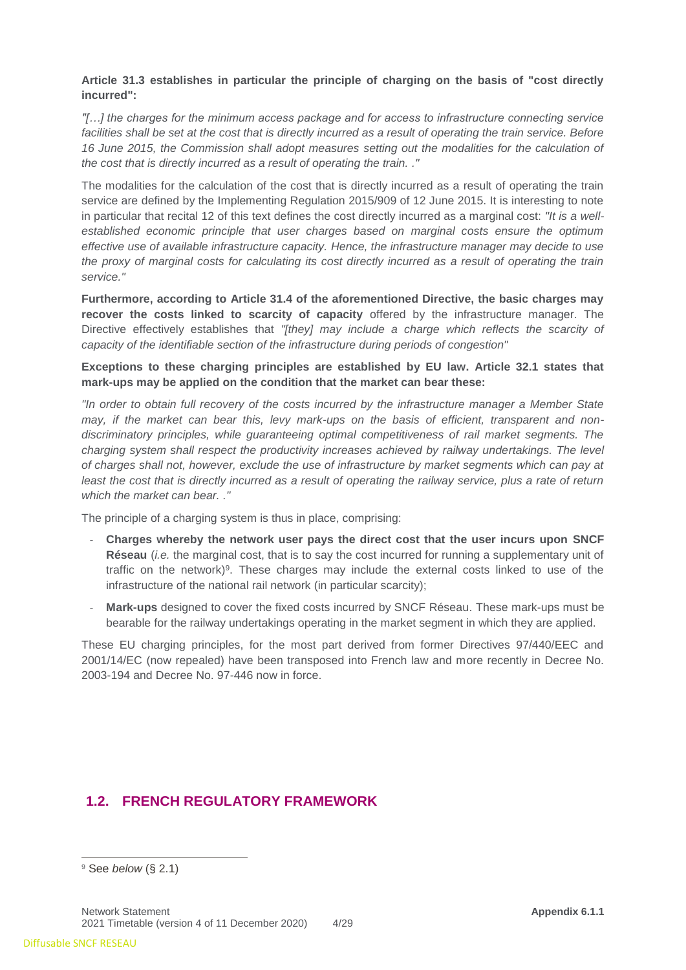#### **Article 31.3 establishes in particular the principle of charging on the basis of "cost directly incurred":**

*"[…] the charges for the minimum access package and for access to infrastructure connecting service*  facilities shall be set at the cost that is directly incurred as a result of operating the train service. Before *16 June 2015, the Commission shall adopt measures setting out the modalities for the calculation of the cost that is directly incurred as a result of operating the train. ."*

The modalities for the calculation of the cost that is directly incurred as a result of operating the train service are defined by the Implementing Regulation 2015/909 of 12 June 2015. It is interesting to note in particular that recital 12 of this text defines the cost directly incurred as a marginal cost: *"It is a wellestablished economic principle that user charges based on marginal costs ensure the optimum effective use of available infrastructure capacity. Hence, the infrastructure manager may decide to use the proxy of marginal costs for calculating its cost directly incurred as a result of operating the train service."*

**Furthermore, according to Article 31.4 of the aforementioned Directive, the basic charges may recover the costs linked to scarcity of capacity** offered by the infrastructure manager. The Directive effectively establishes that *"[they] may include a charge which reflects the scarcity of capacity of the identifiable section of the infrastructure during periods of congestion"*

**Exceptions to these charging principles are established by EU law. Article 32.1 states that mark-ups may be applied on the condition that the market can bear these:** 

*"In order to obtain full recovery of the costs incurred by the infrastructure manager a Member State may, if the market can bear this, levy mark-ups on the basis of efficient, transparent and nondiscriminatory principles, while guaranteeing optimal competitiveness of rail market segments. The charging system shall respect the productivity increases achieved by railway undertakings. The level of charges shall not, however, exclude the use of infrastructure by market segments which can pay at least the cost that is directly incurred as a result of operating the railway service, plus a rate of return which the market can bear. ."*

The principle of a charging system is thus in place, comprising:

- **Charges whereby the network user pays the direct cost that the user incurs upon SNCF Réseau** (*i.e.* the marginal cost, that is to say the cost incurred for running a supplementary unit of traffic on the network)<sup>9</sup>. These charges may include the external costs linked to use of the infrastructure of the national rail network (in particular scarcity);
- **Mark-ups** designed to cover the fixed costs incurred by SNCF Réseau. These mark-ups must be bearable for the railway undertakings operating in the market segment in which they are applied.

These EU charging principles, for the most part derived from former Directives 97/440/EEC and 2001/14/EC (now repealed) have been transposed into French law and more recently in Decree No. 2003-194 and Decree No. 97-446 now in force.

## <span id="page-3-0"></span>**1.2. FRENCH REGULATORY FRAMEWORK**

<sup>9</sup> See *below* (§ 2.1)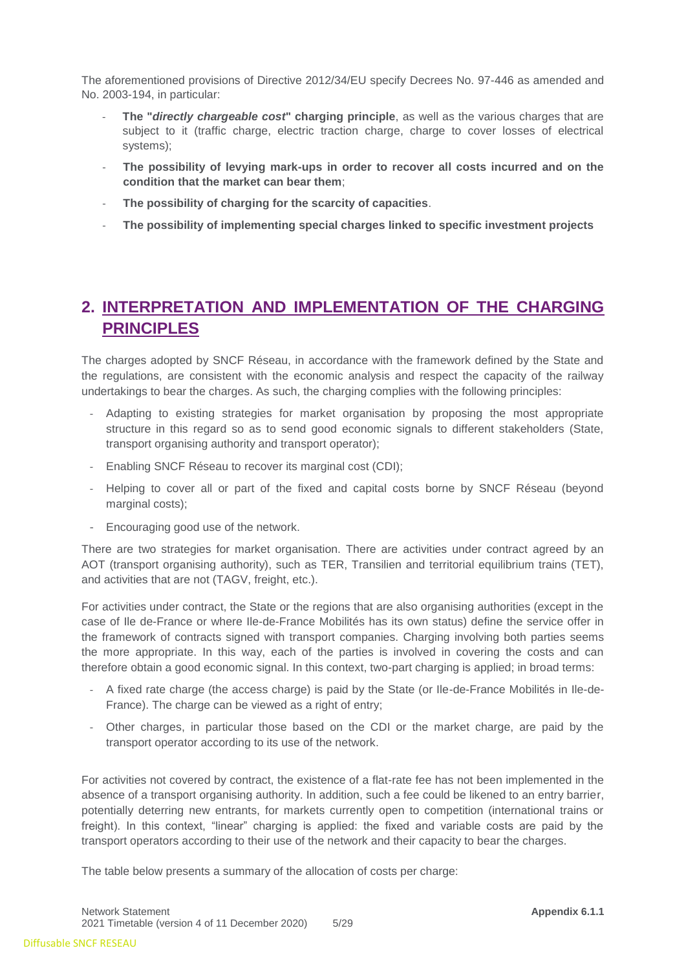The aforementioned provisions of Directive 2012/34/EU specify Decrees No. 97-446 as amended and No. 2003-194, in particular:

- **The "***directly chargeable cost***" charging principle**, as well as the various charges that are subject to it (traffic charge, electric traction charge, charge to cover losses of electrical systems);
- The possibility of levying mark-ups in order to recover all costs incurred and on the **condition that the market can bear them**;
- **The possibility of charging for the scarcity of capacities**.
- **The possibility of implementing special charges linked to specific investment projects**

# <span id="page-4-0"></span>**2. INTERPRETATION AND IMPLEMENTATION OF THE CHARGING PRINCIPLES**

The charges adopted by SNCF Réseau, in accordance with the framework defined by the State and the regulations, are consistent with the economic analysis and respect the capacity of the railway undertakings to bear the charges. As such, the charging complies with the following principles:

- Adapting to existing strategies for market organisation by proposing the most appropriate structure in this regard so as to send good economic signals to different stakeholders (State, transport organising authority and transport operator);
- Enabling SNCF Réseau to recover its marginal cost (CDI);
- Helping to cover all or part of the fixed and capital costs borne by SNCF Réseau (beyond marginal costs);
- Encouraging good use of the network.

There are two strategies for market organisation. There are activities under contract agreed by an AOT (transport organising authority), such as TER, Transilien and territorial equilibrium trains (TET), and activities that are not (TAGV, freight, etc.).

For activities under contract, the State or the regions that are also organising authorities (except in the case of Ile de-France or where Ile-de-France Mobilités has its own status) define the service offer in the framework of contracts signed with transport companies. Charging involving both parties seems the more appropriate. In this way, each of the parties is involved in covering the costs and can therefore obtain a good economic signal. In this context, two-part charging is applied; in broad terms:

- A fixed rate charge (the access charge) is paid by the State (or Ile-de-France Mobilités in Ile-de-France). The charge can be viewed as a right of entry;
- Other charges, in particular those based on the CDI or the market charge, are paid by the transport operator according to its use of the network.

For activities not covered by contract, the existence of a flat-rate fee has not been implemented in the absence of a transport organising authority. In addition, such a fee could be likened to an entry barrier, potentially deterring new entrants, for markets currently open to competition (international trains or freight). In this context, "linear" charging is applied: the fixed and variable costs are paid by the transport operators according to their use of the network and their capacity to bear the charges.

The table below presents a summary of the allocation of costs per charge: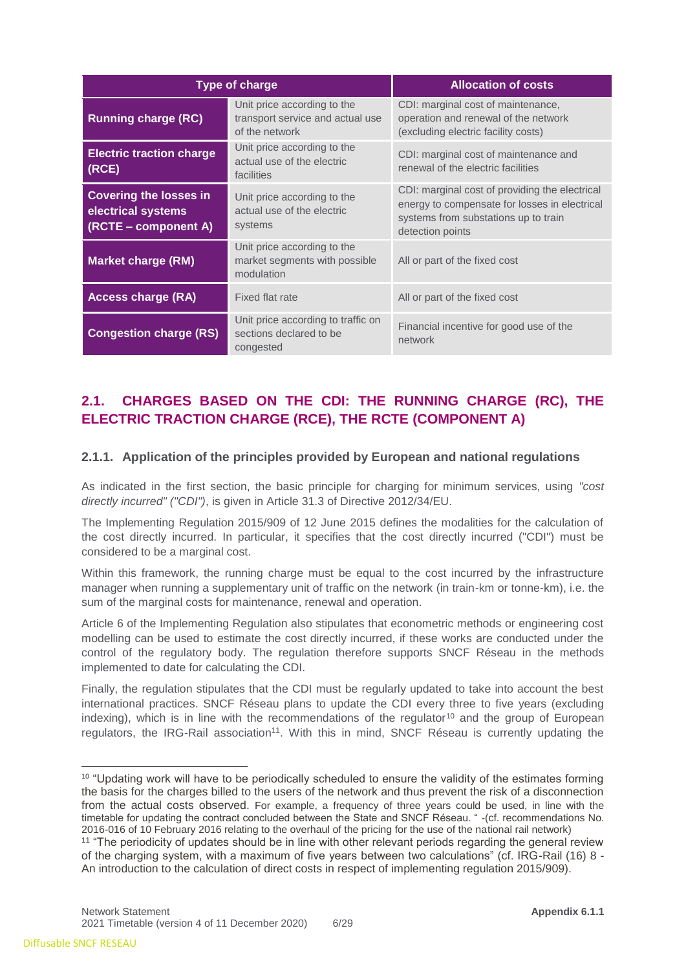|                                                                             | <b>Type of charge</b>                                                             | <b>Allocation of costs</b>                                                                                                                                  |
|-----------------------------------------------------------------------------|-----------------------------------------------------------------------------------|-------------------------------------------------------------------------------------------------------------------------------------------------------------|
| <b>Running charge (RC)</b>                                                  | Unit price according to the<br>transport service and actual use<br>of the network | CDI: marginal cost of maintenance,<br>operation and renewal of the network<br>(excluding electric facility costs)                                           |
| <b>Electric traction charge</b><br>(RCE)                                    | Unit price according to the<br>actual use of the electric<br>facilities           | CDI: marginal cost of maintenance and<br>renewal of the electric facilities                                                                                 |
| <b>Covering the losses in</b><br>electrical systems<br>(RCTE – component A) | Unit price according to the<br>actual use of the electric<br>systems              | CDI: marginal cost of providing the electrical<br>energy to compensate for losses in electrical<br>systems from substations up to train<br>detection points |
| <b>Market charge (RM)</b>                                                   | Unit price according to the<br>market segments with possible<br>modulation        | All or part of the fixed cost                                                                                                                               |
| <b>Access charge (RA)</b>                                                   | Fixed flat rate                                                                   | All or part of the fixed cost                                                                                                                               |
| <b>Congestion charge (RS)</b>                                               | Unit price according to traffic on<br>sections declared to be<br>congested        | Financial incentive for good use of the<br>network                                                                                                          |

# <span id="page-5-0"></span>**2.1. CHARGES BASED ON THE CDI: THE RUNNING CHARGE (RC), THE ELECTRIC TRACTION CHARGE (RCE), THE RCTE (COMPONENT A)**

## **2.1.1. Application of the principles provided by European and national regulations**

As indicated in the first section, the basic principle for charging for minimum services, using *"cost directly incurred" ("CDI")*, is given in Article 31.3 of Directive 2012/34/EU.

The Implementing Regulation 2015/909 of 12 June 2015 defines the modalities for the calculation of the cost directly incurred. In particular, it specifies that the cost directly incurred ("CDI") must be considered to be a marginal cost.

Within this framework, the running charge must be equal to the cost incurred by the infrastructure manager when running a supplementary unit of traffic on the network (in train-km or tonne-km), i.e. the sum of the marginal costs for maintenance, renewal and operation.

Article 6 of the Implementing Regulation also stipulates that econometric methods or engineering cost modelling can be used to estimate the cost directly incurred, if these works are conducted under the control of the regulatory body. The regulation therefore supports SNCF Réseau in the methods implemented to date for calculating the CDI.

Finally, the regulation stipulates that the CDI must be regularly updated to take into account the best international practices. SNCF Réseau plans to update the CDI every three to five years (excluding indexing), which is in line with the recommendations of the regulator<sup>10</sup> and the group of European regulators, the IRG-Rail association<sup>11</sup>. With this in mind, SNCF Réseau is currently updating the

<sup>&</sup>lt;sup>10</sup> "Updating work will have to be periodically scheduled to ensure the validity of the estimates forming the basis for the charges billed to the users of the network and thus prevent the risk of a disconnection from the actual costs observed. For example, a frequency of three years could be used, in line with the timetable for updating the contract concluded between the State and SNCF Réseau. " -(cf. recommendations No. 2016-016 of 10 February 2016 relating to the overhaul of the pricing for the use of the national rail network)

<sup>11</sup> "The periodicity of updates should be in line with other relevant periods regarding the general review of the charging system, with a maximum of five years between two calculations" (cf. IRG-Rail (16) 8 - An introduction to the calculation of direct costs in respect of implementing regulation 2015/909).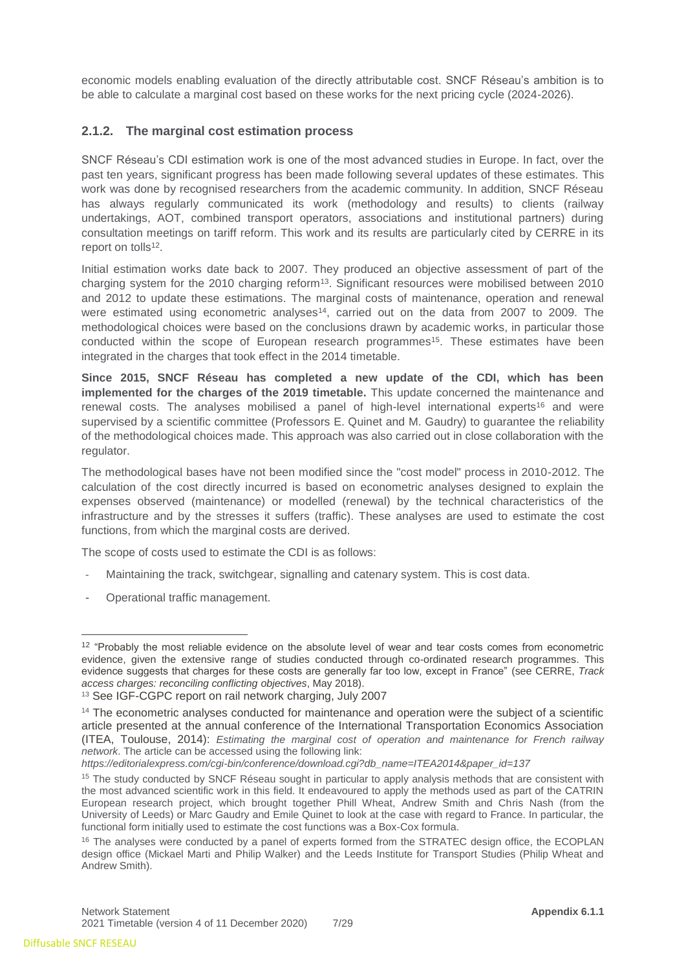economic models enabling evaluation of the directly attributable cost. SNCF Réseau's ambition is to be able to calculate a marginal cost based on these works for the next pricing cycle (2024-2026).

#### **2.1.2. The marginal cost estimation process**

SNCF Réseau's CDI estimation work is one of the most advanced studies in Europe. In fact, over the past ten years, significant progress has been made following several updates of these estimates. This work was done by recognised researchers from the academic community. In addition, SNCF Réseau has always regularly communicated its work (methodology and results) to clients (railway undertakings, AOT, combined transport operators, associations and institutional partners) during consultation meetings on tariff reform. This work and its results are particularly cited by CERRE in its report on tolls<sup>12</sup>.

Initial estimation works date back to 2007. They produced an objective assessment of part of the charging system for the 2010 charging reform<sup>13</sup>. Significant resources were mobilised between 2010 and 2012 to update these estimations. The marginal costs of maintenance, operation and renewal were estimated using econometric analyses<sup>14</sup>, carried out on the data from 2007 to 2009. The methodological choices were based on the conclusions drawn by academic works, in particular those conducted within the scope of European research programmes<sup>15</sup>. These estimates have been integrated in the charges that took effect in the 2014 timetable.

**Since 2015, SNCF Réseau has completed a new update of the CDI, which has been implemented for the charges of the 2019 timetable.** This update concerned the maintenance and renewal costs. The analyses mobilised a panel of high-level international experts<sup>16</sup> and were supervised by a scientific committee (Professors E. Quinet and M. Gaudry) to guarantee the reliability of the methodological choices made. This approach was also carried out in close collaboration with the regulator.

The methodological bases have not been modified since the "cost model" process in 2010-2012. The calculation of the cost directly incurred is based on econometric analyses designed to explain the expenses observed (maintenance) or modelled (renewal) by the technical characteristics of the infrastructure and by the stresses it suffers (traffic). These analyses are used to estimate the cost functions, from which the marginal costs are derived.

The scope of costs used to estimate the CDI is as follows:

- Maintaining the track, switchgear, signalling and catenary system. This is cost data.
- Operational traffic management.

*https://editorialexpress.com/cgi-bin/conference/download.cgi?db\_name=ITEA2014&paper\_id=137*

<sup>&</sup>lt;sup>12</sup> "Probably the most reliable evidence on the absolute level of wear and tear costs comes from econometric evidence, given the extensive range of studies conducted through co-ordinated research programmes. This evidence suggests that charges for these costs are generally far too low, except in France" (see CERRE, *Track access charges: reconciling conflicting objectives*, May 2018).

<sup>13</sup> See IGF-CGPC report on rail network charging, July 2007

<sup>&</sup>lt;sup>14</sup> The econometric analyses conducted for maintenance and operation were the subject of a scientific article presented at the annual conference of the International Transportation Economics Association (ITEA, Toulouse, 2014): *Estimating the marginal cost of operation and maintenance for French railway network*. The article can be accessed using the following link:

<sup>&</sup>lt;sup>15</sup> The study conducted by SNCF Réseau sought in particular to apply analysis methods that are consistent with the most advanced scientific work in this field. It endeavoured to apply the methods used as part of the CATRIN European research project, which brought together Phill Wheat, Andrew Smith and Chris Nash (from the University of Leeds) or Marc Gaudry and Emile Quinet to look at the case with regard to France. In particular, the functional form initially used to estimate the cost functions was a Box-Cox formula.

<sup>&</sup>lt;sup>16</sup> The analyses were conducted by a panel of experts formed from the STRATEC design office, the ECOPLAN design office (Mickael Marti and Philip Walker) and the Leeds Institute for Transport Studies (Philip Wheat and Andrew Smith).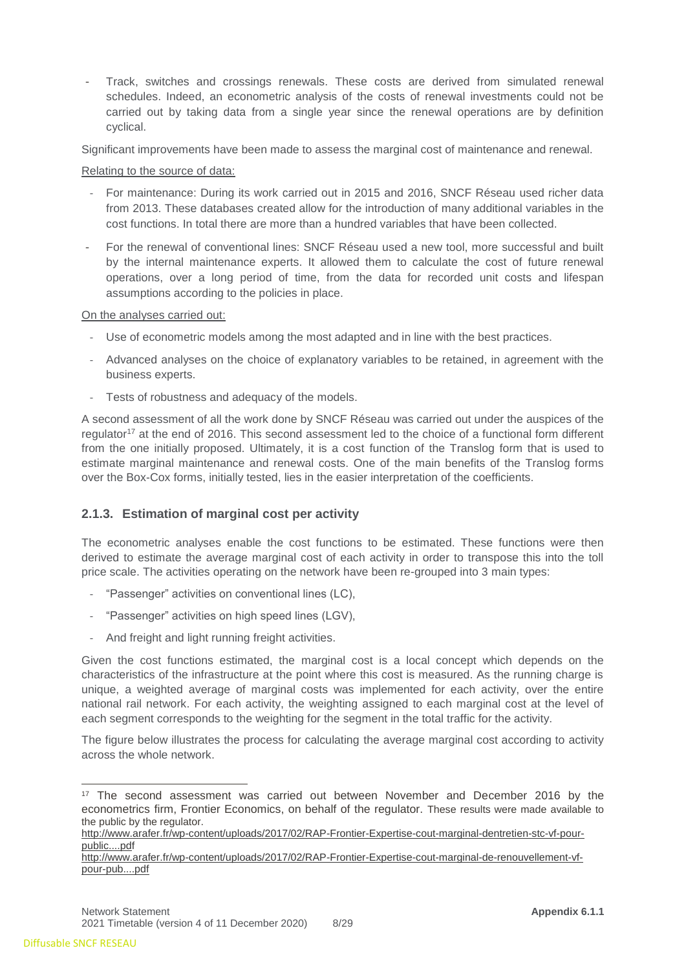Track, switches and crossings renewals. These costs are derived from simulated renewal schedules. Indeed, an econometric analysis of the costs of renewal investments could not be carried out by taking data from a single year since the renewal operations are by definition cyclical.

Significant improvements have been made to assess the marginal cost of maintenance and renewal.

Relating to the source of data:

- For maintenance: During its work carried out in 2015 and 2016, SNCF Réseau used richer data from 2013. These databases created allow for the introduction of many additional variables in the cost functions. In total there are more than a hundred variables that have been collected.
- For the renewal of conventional lines: SNCF Réseau used a new tool, more successful and built by the internal maintenance experts. It allowed them to calculate the cost of future renewal operations, over a long period of time, from the data for recorded unit costs and lifespan assumptions according to the policies in place.

#### On the analyses carried out:

- Use of econometric models among the most adapted and in line with the best practices.
- Advanced analyses on the choice of explanatory variables to be retained, in agreement with the business experts.
- Tests of robustness and adequacy of the models.

A second assessment of all the work done by SNCF Réseau was carried out under the auspices of the regulator<sup>17</sup> at the end of 2016. This second assessment led to the choice of a functional form different from the one initially proposed. Ultimately, it is a cost function of the Translog form that is used to estimate marginal maintenance and renewal costs. One of the main benefits of the Translog forms over the Box-Cox forms, initially tested, lies in the easier interpretation of the coefficients.

## **2.1.3. Estimation of marginal cost per activity**

The econometric analyses enable the cost functions to be estimated. These functions were then derived to estimate the average marginal cost of each activity in order to transpose this into the toll price scale. The activities operating on the network have been re-grouped into 3 main types:

- "Passenger" activities on conventional lines (LC),
- "Passenger" activities on high speed lines (LGV),
- And freight and light running freight activities.

Given the cost functions estimated, the marginal cost is a local concept which depends on the characteristics of the infrastructure at the point where this cost is measured. As the running charge is unique, a weighted average of marginal costs was implemented for each activity, over the entire national rail network. For each activity, the weighting assigned to each marginal cost at the level of each segment corresponds to the weighting for the segment in the total traffic for the activity.

The figure below illustrates the process for calculating the average marginal cost according to activity across the whole network.

<sup>&</sup>lt;sup>17</sup> The second assessment was carried out between November and December 2016 by the econometrics firm, Frontier Economics, on behalf of the regulator. These results were made available to the public by the regulator.

[http://www.arafer.fr/wp-content/uploads/2017/02/RAP-Frontier-Expertise-cout-marginal-dentretien-stc-vf-pour](http://www.arafer.fr/wp-content/uploads/2017/02/RAP-Frontier-Expertise-cout-marginal-dentretien-stc-vf-pour-public....pdf)[public....pdf](http://www.arafer.fr/wp-content/uploads/2017/02/RAP-Frontier-Expertise-cout-marginal-dentretien-stc-vf-pour-public....pdf)

[http://www.arafer.fr/wp-content/uploads/2017/02/RAP-Frontier-Expertise-cout-marginal-de-renouvellement-vf](http://www.arafer.fr/wp-content/uploads/2017/02/RAP-Frontier-Expertise-cout-marginal-de-renouvellement-vf-pour-pub....pdf)[pour-pub....pdf](http://www.arafer.fr/wp-content/uploads/2017/02/RAP-Frontier-Expertise-cout-marginal-de-renouvellement-vf-pour-pub....pdf)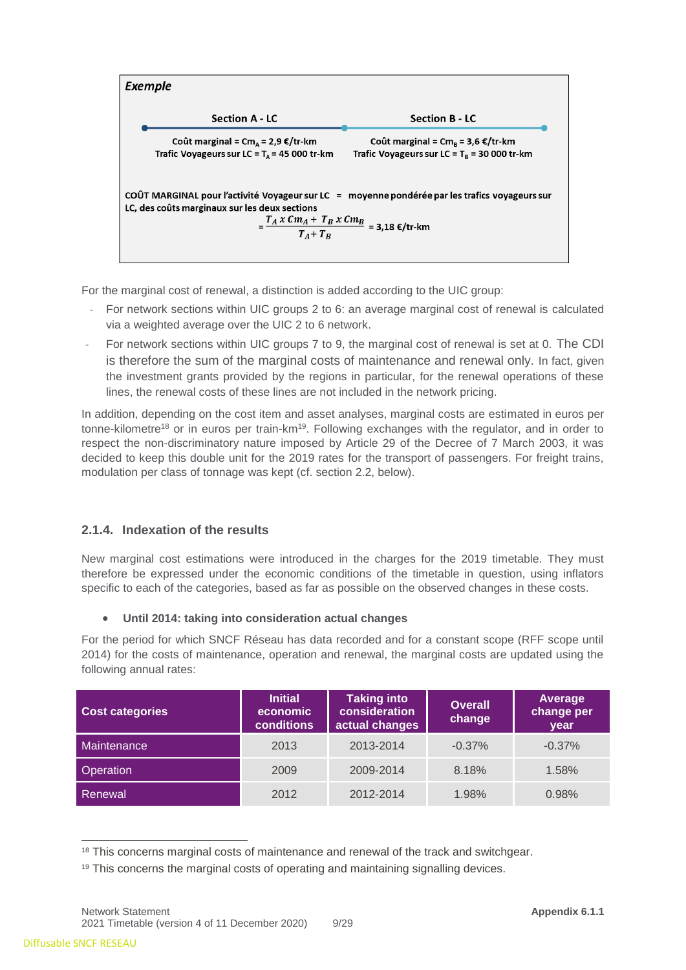

For the marginal cost of renewal, a distinction is added according to the UIC group:

- For network sections within UIC groups 2 to 6: an average marginal cost of renewal is calculated via a weighted average over the UIC 2 to 6 network.
- For network sections within UIC groups 7 to 9, the marginal cost of renewal is set at 0. The CDI is therefore the sum of the marginal costs of maintenance and renewal only. In fact, given the investment grants provided by the regions in particular, for the renewal operations of these lines, the renewal costs of these lines are not included in the network pricing.

In addition, depending on the cost item and asset analyses, marginal costs are estimated in euros per tonne-kilometre<sup>18</sup> or in euros per train-km<sup>19</sup>. Following exchanges with the regulator, and in order to respect the non-discriminatory nature imposed by Article 29 of the Decree of 7 March 2003, it was decided to keep this double unit for the 2019 rates for the transport of passengers. For freight trains, modulation per class of tonnage was kept (cf. section 2.2, below).

## **2.1.4. Indexation of the results**

New marginal cost estimations were introduced in the charges for the 2019 timetable. They must therefore be expressed under the economic conditions of the timetable in question, using inflators specific to each of the categories, based as far as possible on the observed changes in these costs.

#### • **Until 2014: taking into consideration actual changes**

For the period for which SNCF Réseau has data recorded and for a constant scope (RFF scope until 2014) for the costs of maintenance, operation and renewal, the marginal costs are updated using the following annual rates:

| <b>Cost categories</b> | <b>Initial</b><br>economic<br><b>conditions</b> | <b>Taking into</b><br>consideration<br>actual changes | <b>Overall</b><br>change | Average<br>change per<br>vear |
|------------------------|-------------------------------------------------|-------------------------------------------------------|--------------------------|-------------------------------|
| Maintenance            | 2013                                            | 2013-2014                                             | $-0.37\%$                | $-0.37%$                      |
| Operation              | 2009                                            | 2009-2014                                             | 8.18%                    | 1.58%                         |
| Renewal                | 2012                                            | 2012-2014                                             | 1.98%                    | 0.98%                         |

<sup>&</sup>lt;sup>18</sup> This concerns marginal costs of maintenance and renewal of the track and switchgear.

<sup>&</sup>lt;sup>19</sup> This concerns the marginal costs of operating and maintaining signalling devices.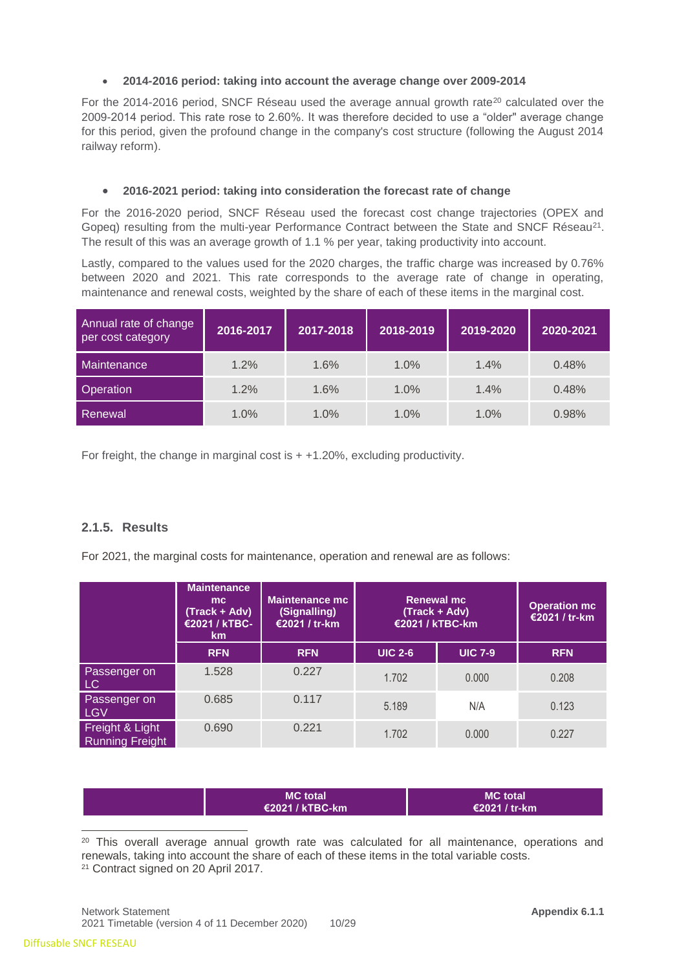#### • **2014-2016 period: taking into account the average change over 2009-2014**

For the 2014-2016 period, SNCF Réseau used the average annual growth rate<sup>20</sup> calculated over the 2009-2014 period. This rate rose to 2.60%. It was therefore decided to use a "older" average change for this period, given the profound change in the company's cost structure (following the August 2014 railway reform).

#### • **2016-2021 period: taking into consideration the forecast rate of change**

For the 2016-2020 period, SNCF Réseau used the forecast cost change trajectories (OPEX and Gopeq) resulting from the multi-year Performance Contract between the State and SNCF Réseau<sup>21</sup>. The result of this was an average growth of 1.1 % per year, taking productivity into account.

Lastly, compared to the values used for the 2020 charges, the traffic charge was increased by 0.76% between 2020 and 2021. This rate corresponds to the average rate of change in operating, maintenance and renewal costs, weighted by the share of each of these items in the marginal cost.

| Annual rate of change<br>per cost category | 2016-2017 | 2017-2018 | 2018-2019 | 2019-2020 | 2020-2021 |
|--------------------------------------------|-----------|-----------|-----------|-----------|-----------|
| Maintenance                                | 1.2%      | 1.6%      | 1.0%      | 1.4%      | 0.48%     |
| Operation                                  | 1.2%      | 1.6%      | 1.0%      | 1.4%      | 0.48%     |
| Renewal                                    | 1.0%      | 1.0%      | 1.0%      | 1.0%      | 0.98%     |

For freight, the change in marginal cost is  $+ +1.20\%$ , excluding productivity.

## **2.1.5. Results**

For 2021, the marginal costs for maintenance, operation and renewal are as follows:

|                                           | <b>Maintenance</b><br>mc<br>(Track + Adv)<br>€2021 / kTBC-<br>km <sub>2</sub> | <b>Maintenance mc</b><br>(Signalling)<br>€2021 / tr-km | <b>Renewal mc</b><br>€2021 / kTBC-km | (Track + Adv)  | <b>Operation mc</b><br>€2021 / tr-km |
|-------------------------------------------|-------------------------------------------------------------------------------|--------------------------------------------------------|--------------------------------------|----------------|--------------------------------------|
|                                           | <b>RFN</b>                                                                    | <b>RFN</b>                                             | <b>UIC 2-6</b>                       | <b>UIC 7-9</b> | <b>RFN</b>                           |
| Passenger on<br>LC                        | 1.528                                                                         | 0.227                                                  | 1.702                                | 0.000          | 0.208                                |
| Passenger on<br><b>LGV</b>                | 0.685                                                                         | 0.117                                                  | 5.189                                | N/A            | 0.123                                |
| Freight & Light<br><b>Running Freight</b> | 0.690                                                                         | 0.221                                                  | 1.702                                | 0.000          | 0.227                                |

| <b>MC</b> total           | <b>MC</b> total |
|---------------------------|-----------------|
| $\epsilon$ 2021 / kTBC-km | €2021 / tr-km   |

 $\overline{a}$ <sup>20</sup> This overall average annual growth rate was calculated for all maintenance, operations and renewals, taking into account the share of each of these items in the total variable costs. <sup>21</sup> Contract signed on 20 April 2017.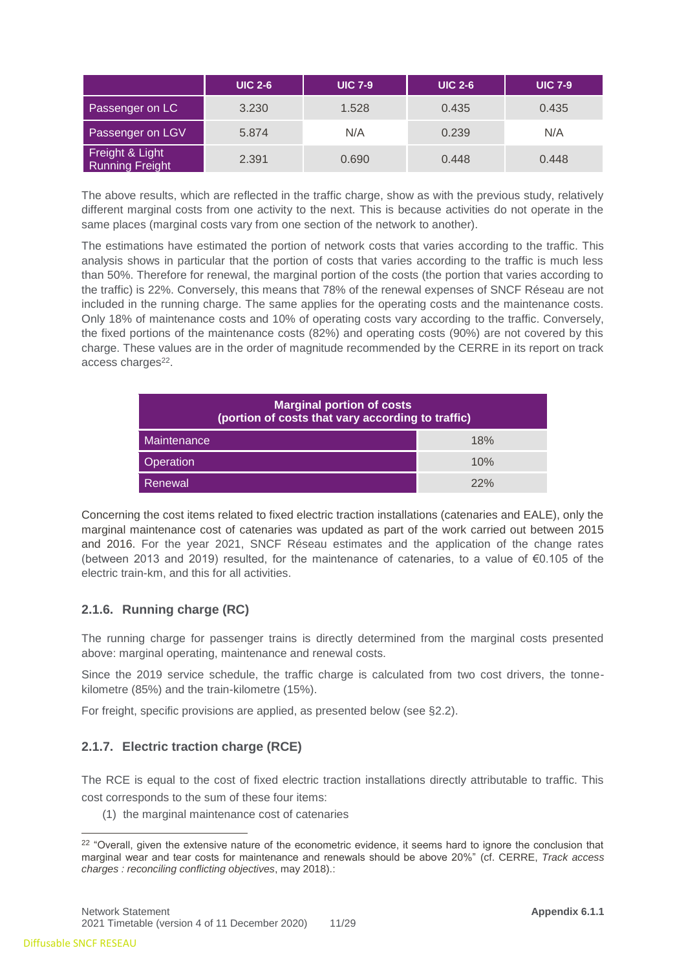|                                           | <b>UIC 2-6</b> | <b>UIC 7-9</b> | <b>UIC 2-6</b> | <b>UIC 7-9</b> |
|-------------------------------------------|----------------|----------------|----------------|----------------|
| Passenger on LC                           | 3.230          | 1.528          | 0.435          | 0.435          |
| Passenger on LGV                          | 5.874          | N/A            | 0.239          | N/A            |
| Freight & Light<br><b>Running Freight</b> | 2.391          | 0.690          | 0.448          | 0.448          |

The above results, which are reflected in the traffic charge, show as with the previous study, relatively different marginal costs from one activity to the next. This is because activities do not operate in the same places (marginal costs vary from one section of the network to another).

The estimations have estimated the portion of network costs that varies according to the traffic. This analysis shows in particular that the portion of costs that varies according to the traffic is much less than 50%. Therefore for renewal, the marginal portion of the costs (the portion that varies according to the traffic) is 22%. Conversely, this means that 78% of the renewal expenses of SNCF Réseau are not included in the running charge. The same applies for the operating costs and the maintenance costs. Only 18% of maintenance costs and 10% of operating costs vary according to the traffic. Conversely, the fixed portions of the maintenance costs (82%) and operating costs (90%) are not covered by this charge. These values are in the order of magnitude recommended by the CERRE in its report on track access charges<sup>22</sup>.

| <b>Marginal portion of costs</b><br>(portion of costs that vary according to traffic) |     |  |  |  |  |
|---------------------------------------------------------------------------------------|-----|--|--|--|--|
| Maintenance                                                                           | 18% |  |  |  |  |
| Operation                                                                             | 10% |  |  |  |  |
| Renewal                                                                               | 22% |  |  |  |  |

Concerning the cost items related to fixed electric traction installations (catenaries and EALE), only the marginal maintenance cost of catenaries was updated as part of the work carried out between 2015 and 2016. For the year 2021, SNCF Réseau estimates and the application of the change rates (between 2013 and 2019) resulted, for the maintenance of catenaries, to a value of €0.105 of the electric train-km, and this for all activities.

## **2.1.6. Running charge (RC)**

The running charge for passenger trains is directly determined from the marginal costs presented above: marginal operating, maintenance and renewal costs.

Since the 2019 service schedule, the traffic charge is calculated from two cost drivers, the tonnekilometre (85%) and the train-kilometre (15%).

For freight, specific provisions are applied, as presented below (see §2.2).

## **2.1.7. Electric traction charge (RCE)**

The RCE is equal to the cost of fixed electric traction installations directly attributable to traffic. This cost corresponds to the sum of these four items:

(1) the marginal maintenance cost of catenaries

 $\overline{a}$ 

<sup>&</sup>lt;sup>22</sup> "Overall, given the extensive nature of the econometric evidence, it seems hard to ignore the conclusion that marginal wear and tear costs for maintenance and renewals should be above 20%" (cf. CERRE, *Track access charges : reconciling conflicting objectives*, may 2018).: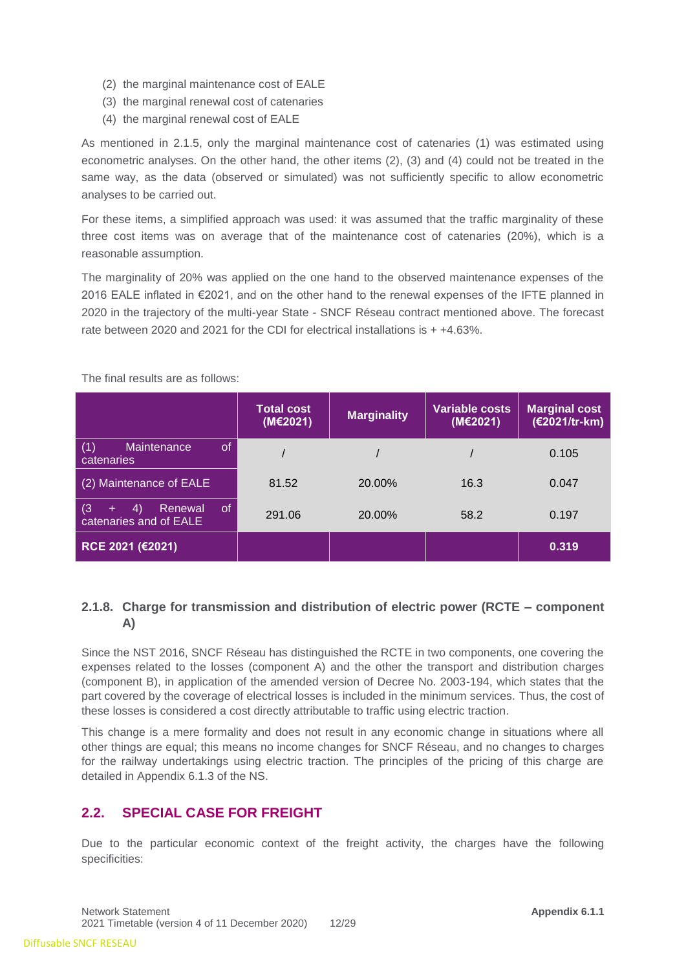- (2) the marginal maintenance cost of EALE
- (3) the marginal renewal cost of catenaries
- (4) the marginal renewal cost of EALE

As mentioned in 2.1.5, only the marginal maintenance cost of catenaries (1) was estimated using econometric analyses. On the other hand, the other items (2), (3) and (4) could not be treated in the same way, as the data (observed or simulated) was not sufficiently specific to allow econometric analyses to be carried out.

For these items, a simplified approach was used: it was assumed that the traffic marginality of these three cost items was on average that of the maintenance cost of catenaries (20%), which is a reasonable assumption.

The marginality of 20% was applied on the one hand to the observed maintenance expenses of the 2016 EALE inflated in €2021, and on the other hand to the renewal expenses of the IFTE planned in 2020 in the trajectory of the multi-year State - SNCF Réseau contract mentioned above. The forecast rate between 2020 and 2021 for the CDI for electrical installations is + +4.63%.

|                                                                        | <b>Total cost</b><br>(M€2021) | <b>Marginality</b> | <b>Variable costs</b><br>(M€2021) | <b>Marginal cost</b><br>(€2021/tr-km) |
|------------------------------------------------------------------------|-------------------------------|--------------------|-----------------------------------|---------------------------------------|
| <sub>of</sub><br>(1)<br><b>Maintenance</b><br>catenaries               |                               |                    |                                   | 0.105                                 |
| (2) Maintenance of EALE                                                | 81.52                         | 20.00%             | 16.3                              | 0.047                                 |
| (3)<br><sub>of</sub><br>Renewal<br>4)<br>$+$<br>catenaries and of EALE | 291.06                        | 20.00%             | 58.2                              | 0.197                                 |
| RCE 2021 (€2021)                                                       |                               |                    |                                   | 0.319                                 |

The final results are as follows:

## **2.1.8. Charge for transmission and distribution of electric power (RCTE – component A)**

Since the NST 2016, SNCF Réseau has distinguished the RCTE in two components, one covering the expenses related to the losses (component A) and the other the transport and distribution charges (component B), in application of the amended version of Decree No. 2003-194, which states that the part covered by the coverage of electrical losses is included in the minimum services. Thus, the cost of these losses is considered a cost directly attributable to traffic using electric traction.

This change is a mere formality and does not result in any economic change in situations where all other things are equal; this means no income changes for SNCF Réseau, and no changes to charges for the railway undertakings using electric traction. The principles of the pricing of this charge are detailed in Appendix 6.1.3 of the NS.

# <span id="page-11-0"></span>**2.2. SPECIAL CASE FOR FREIGHT**

Due to the particular economic context of the freight activity, the charges have the following specificities: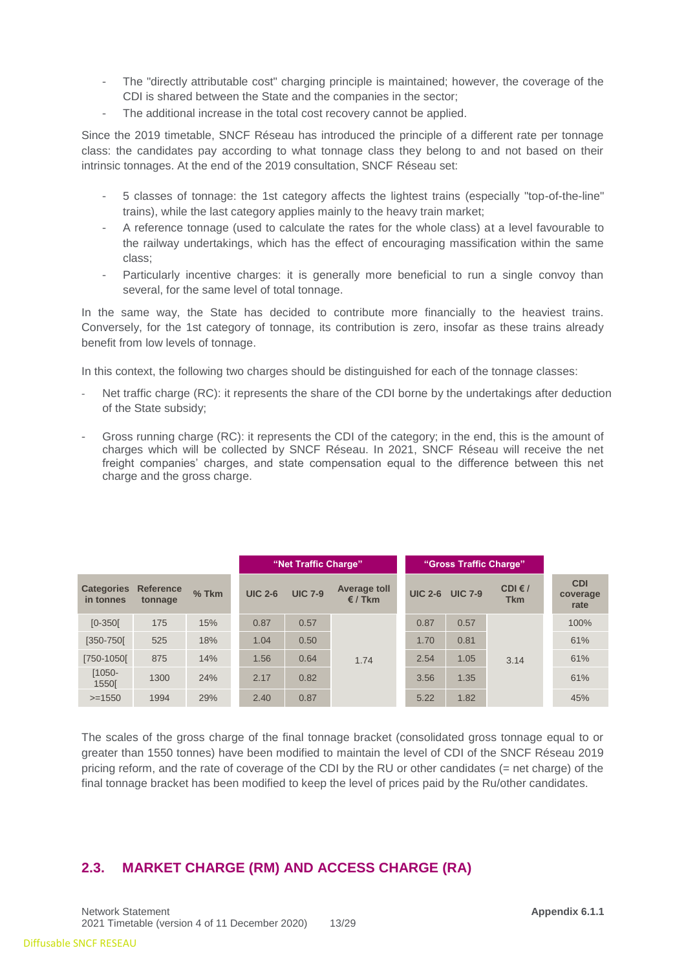- The "directly attributable cost" charging principle is maintained; however, the coverage of the CDI is shared between the State and the companies in the sector;
- The additional increase in the total cost recovery cannot be applied.

Since the 2019 timetable, SNCF Réseau has introduced the principle of a different rate per tonnage class: the candidates pay according to what tonnage class they belong to and not based on their intrinsic tonnages. At the end of the 2019 consultation, SNCF Réseau set:

- 5 classes of tonnage: the 1st category affects the lightest trains (especially "top-of-the-line" trains), while the last category applies mainly to the heavy train market;
- A reference tonnage (used to calculate the rates for the whole class) at a level favourable to the railway undertakings, which has the effect of encouraging massification within the same class;
- Particularly incentive charges: it is generally more beneficial to run a single convoy than several, for the same level of total tonnage.

In the same way, the State has decided to contribute more financially to the heaviest trains. Conversely, for the 1st category of tonnage, its contribution is zero, insofar as these trains already benefit from low levels of tonnage.

In this context, the following two charges should be distinguished for each of the tonnage classes:

- Net traffic charge (RC): it represents the share of the CDI borne by the undertakings after deduction of the State subsidy;
- Gross running charge (RC): it represents the CDI of the category; in the end, this is the amount of charges which will be collected by SNCF Réseau. In 2021, SNCF Réseau will receive the net freight companies' charges, and state compensation equal to the difference between this net charge and the gross charge.

|                                |                             |         |                | "Net Traffic Charge" |                                         |                | "Gross Traffic Charge" |                                |                                |
|--------------------------------|-----------------------------|---------|----------------|----------------------|-----------------------------------------|----------------|------------------------|--------------------------------|--------------------------------|
| <b>Categories</b><br>in tonnes | <b>Reference</b><br>tonnage | $%$ Tkm | <b>UIC 2-6</b> | <b>UIC 7-9</b>       | <b>Average toll</b><br>$\epsilon$ / Tkm | <b>UIC 2-6</b> | <b>UIC 7-9</b>         | CDI $\epsilon$ /<br><b>Tkm</b> | <b>CDI</b><br>coverage<br>rate |
| $[0-350]$                      | 175                         | 15%     | 0.87           | 0.57                 |                                         | 0.87           | 0.57                   |                                | 100%                           |
| $[350 - 750]$                  | 525                         | 18%     | 1.04           | 0.50                 |                                         | 1.70           | 0.81                   |                                | 61%                            |
| [750-1050]                     | 875                         | 14%     | 1.56           | 0.64                 | 1.74                                    | 2.54           | 1.05                   | 3.14                           | 61%                            |
| $[1050 -$<br><b>1550[</b>      | 1300                        | 24%     | 2.17           | 0.82                 |                                         | 3.56           | 1.35                   |                                | 61%                            |
| $>=1550$                       | 1994                        | 29%     | 2.40           | 0.87                 |                                         | 5.22           | 1.82                   |                                | 45%                            |

The scales of the gross charge of the final tonnage bracket (consolidated gross tonnage equal to or greater than 1550 tonnes) have been modified to maintain the level of CDI of the SNCF Réseau 2019 pricing reform, and the rate of coverage of the CDI by the RU or other candidates (= net charge) of the final tonnage bracket has been modified to keep the level of prices paid by the Ru/other candidates.

## <span id="page-12-0"></span>**2.3. MARKET CHARGE (RM) AND ACCESS CHARGE (RA)**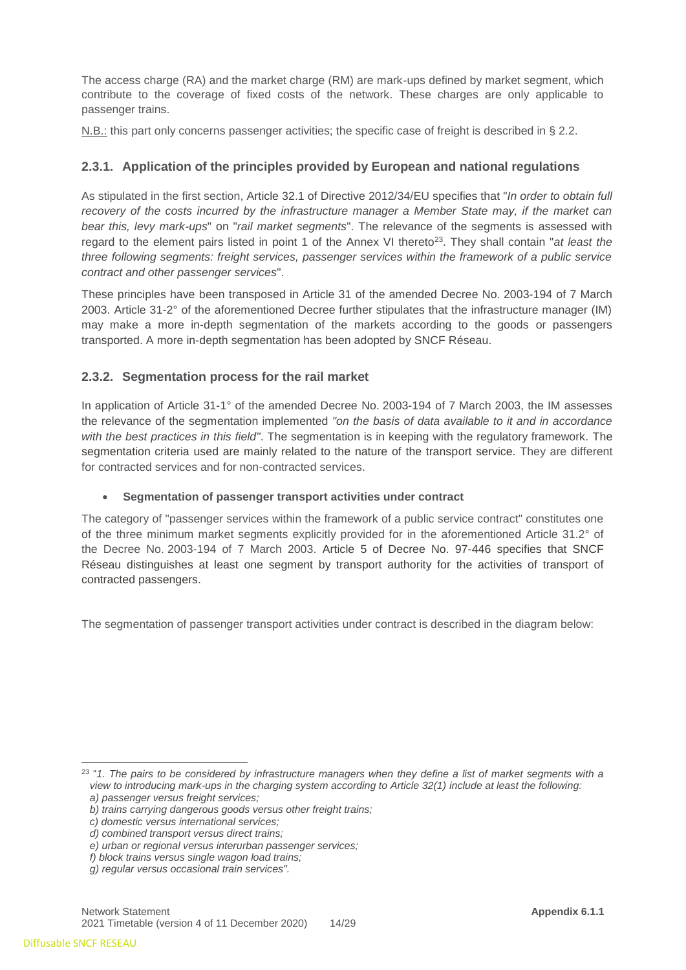The access charge (RA) and the market charge (RM) are mark-ups defined by market segment, which contribute to the coverage of fixed costs of the network. These charges are only applicable to passenger trains.

N.B.: this part only concerns passenger activities; the specific case of freight is described in § 2.2.

## **2.3.1. Application of the principles provided by European and national regulations**

As stipulated in the first section, Article 32.1 of Directive 2012/34/EU specifies that "*In order to obtain full*  recovery of the costs incurred by the infrastructure manager a Member State may, if the market can *bear this, levy mark-ups*" on "*rail market segments*". The relevance of the segments is assessed with regard to the element pairs listed in point 1 of the Annex VI thereto<sup>23</sup>. They shall contain "*at least the three following segments: freight services, passenger services within the framework of a public service contract and other passenger services*".

These principles have been transposed in Article 31 of the amended Decree No. 2003-194 of 7 March 2003. Article 31-2° of the aforementioned Decree further stipulates that the infrastructure manager (IM) may make a more in-depth segmentation of the markets according to the goods or passengers transported. A more in-depth segmentation has been adopted by SNCF Réseau.

## **2.3.2. Segmentation process for the rail market**

In application of Article 31-1° of the amended Decree No. 2003-194 of 7 March 2003, the IM assesses the relevance of the segmentation implemented *"on the basis of data available to it and in accordance with the best practices in this field"*. The segmentation is in keeping with the regulatory framework. The segmentation criteria used are mainly related to the nature of the transport service. They are different for contracted services and for non-contracted services.

## • **Segmentation of passenger transport activities under contract**

The category of "passenger services within the framework of a public service contract" constitutes one of the three minimum market segments explicitly provided for in the aforementioned Article 31.2° of the Decree No. 2003-194 of 7 March 2003. Article 5 of Decree No. 97-446 specifies that SNCF Réseau distinguishes at least one segment by transport authority for the activities of transport of contracted passengers.

The segmentation of passenger transport activities under contract is described in the diagram below:

<sup>-</sup>23 "*1. The pairs to be considered by infrastructure managers when they define a list of market segments with a view to introducing mark-ups in the charging system according to Article 32(1) include at least the following: a) passenger versus freight services;*

*b) trains carrying dangerous goods versus other freight trains;*

*c) domestic versus international services;*

*d) combined transport versus direct trains;*

*e) urban or regional versus interurban passenger services;*

*f) block trains versus single wagon load trains;*

*g) regular versus occasional train services".*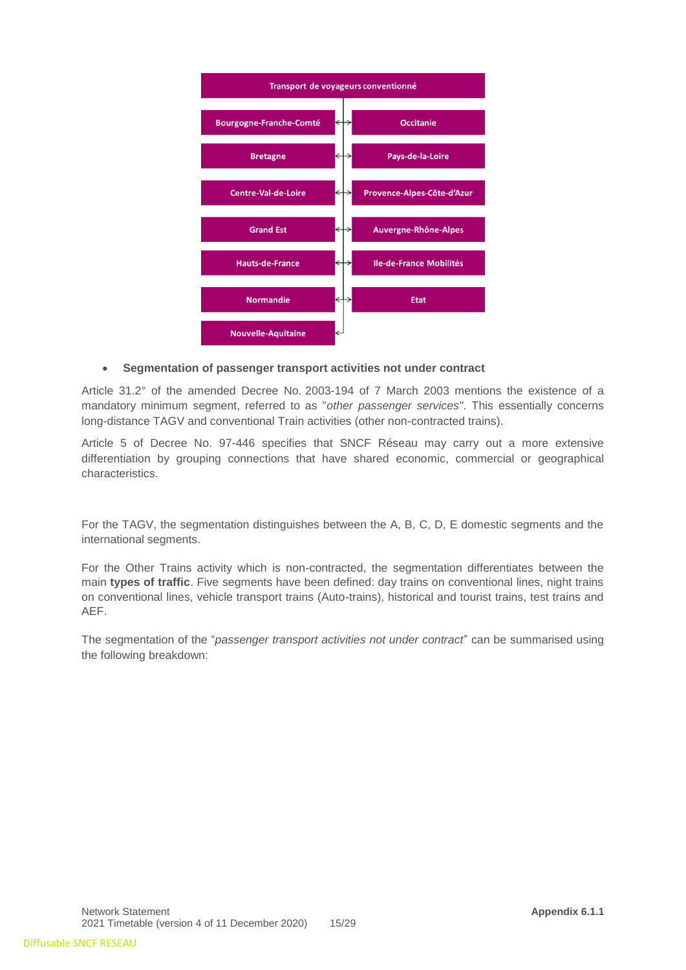

#### • **Segmentation of passenger transport activities not under contract**

Article 31.2° of the amended Decree No. 2003-194 of 7 March 2003 mentions the existence of a mandatory minimum segment, referred to as "*other passenger services"*. This essentially concerns long-distance TAGV and conventional Train activities (other non-contracted trains).

Article 5 of Decree No. 97-446 specifies that SNCF Réseau may carry out a more extensive differentiation by grouping connections that have shared economic, commercial or geographical characteristics.

For the TAGV, the segmentation distinguishes between the A, B, C, D, E domestic segments and the international segments.

For the Other Trains activity which is non-contracted, the segmentation differentiates between the main **types of traffic**. Five segments have been defined: day trains on conventional lines, night trains on conventional lines, vehicle transport trains (Auto-trains), historical and tourist trains, test trains and AEF.

The segmentation of the "*passenger transport activities not under contract*" can be summarised using the following breakdown: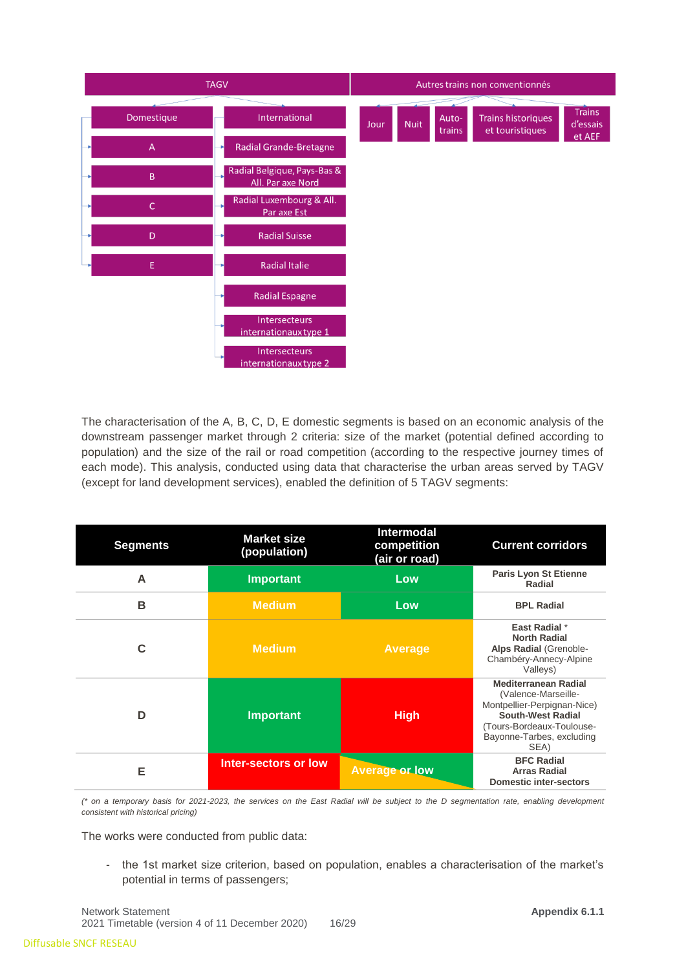

The characterisation of the A, B, C, D, E domestic segments is based on an economic analysis of the downstream passenger market through 2 criteria: size of the market (potential defined according to population) and the size of the rail or road competition (according to the respective journey times of each mode). This analysis, conducted using data that characterise the urban areas served by TAGV (except for land development services), enabled the definition of 5 TAGV segments:

| <b>Segments</b> | <b>Market size</b><br>(population) | <b>Intermodal</b><br>competition<br>(air or road) | <b>Current corridors</b>                                                                                                                                                        |
|-----------------|------------------------------------|---------------------------------------------------|---------------------------------------------------------------------------------------------------------------------------------------------------------------------------------|
| A               | <b>Important</b>                   | Low                                               | <b>Paris Lyon St Etienne</b><br>Radial                                                                                                                                          |
| в               | <b>Medium</b>                      | Low                                               | <b>BPL Radial</b>                                                                                                                                                               |
| C               | <b>Medium</b>                      | <b>Average</b>                                    | East Radial *<br><b>North Radial</b><br>Alps Radial (Grenoble-<br>Chambéry-Annecy-Alpine<br>Valleys)                                                                            |
| D               | <b>Important</b>                   | <b>High</b>                                       | <b>Mediterranean Radial</b><br>(Valence-Marseille-<br>Montpellier-Perpignan-Nice)<br><b>South-West Radial</b><br>(Tours-Bordeaux-Toulouse-<br>Bayonne-Tarbes, excluding<br>SEA) |
| Е               | <b>Inter-sectors or low</b>        | <b>Average or low</b>                             | <b>BFC Radial</b><br><b>Arras Radial</b><br><b>Domestic inter-sectors</b>                                                                                                       |

*(\* on a temporary basis for 2021-2023, the services on the East Radial will be subject to the D segmentation rate, enabling development consistent with historical pricing)*

The works were conducted from public data:

- the 1st market size criterion, based on population, enables a characterisation of the market's potential in terms of passengers;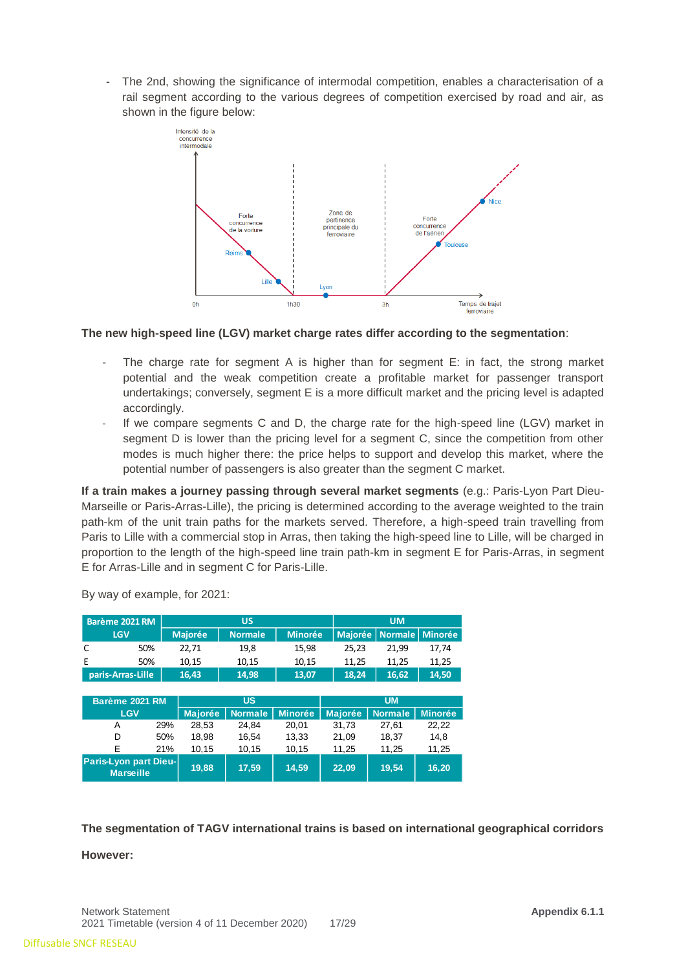- The 2nd, showing the significance of intermodal competition, enables a characterisation of a rail segment according to the various degrees of competition exercised by road and air, as shown in the figure below:



#### **The new high-speed line (LGV) market charge rates differ according to the segmentation**:

- The charge rate for segment A is higher than for segment  $E$ : in fact, the strong market potential and the weak competition create a profitable market for passenger transport undertakings; conversely, segment E is a more difficult market and the pricing level is adapted accordingly.
- If we compare segments C and D, the charge rate for the high-speed line (LGV) market in segment D is lower than the pricing level for a segment C, since the competition from other modes is much higher there: the price helps to support and develop this market, where the potential number of passengers is also greater than the segment C market.

**If a train makes a journey passing through several market segments** (e.g.: Paris-Lyon Part Dieu-Marseille or Paris-Arras-Lille), the pricing is determined according to the average weighted to the train path-km of the unit train paths for the markets served. Therefore, a high-speed train travelling from Paris to Lille with a commercial stop in Arras, then taking the high-speed line to Lille, will be charged in proportion to the length of the high-speed line train path-km in segment E for Paris-Arras, in segment E for Arras-Lille and in segment C for Paris-Lille.

| Barème 2021 RM                                   |                |     | <b>US</b>      |                |                |                | <b>UM</b>      |                |  |
|--------------------------------------------------|----------------|-----|----------------|----------------|----------------|----------------|----------------|----------------|--|
|                                                  | <b>LGV</b>     |     | <b>Majorée</b> | <b>Normale</b> | <b>Minorée</b> | <b>Majorée</b> | <b>Normale</b> | <b>Minorée</b> |  |
| C                                                | 50%            |     | 22,71          | 19,8           | 15,98          | 25,23          | 21,99          | 17,74          |  |
| E                                                | 50%            |     | 10,15          | 10,15          | 10,15          | 11,25          | 11,25          | 11,25          |  |
| paris-Arras-Lille                                |                |     | 16,43          | 14,98          | 13,07          | 18,24          | 16,62          | 14,50          |  |
|                                                  |                |     |                |                |                |                |                |                |  |
|                                                  | Barème 2021 RM |     |                | <b>US</b>      |                |                | <b>UM</b>      |                |  |
|                                                  | <b>LGV</b>     |     | <b>Majorée</b> | <b>Normale</b> | <b>Minorée</b> | <b>Majorée</b> | <b>Normale</b> | <b>Minorée</b> |  |
| A                                                |                | 29% | 28.53          | 24.84          | 20.01          | 31.73          | 27.61          | 22,22          |  |
| D                                                |                | 50% | 18,98          | 16,54          | 13,33          | 21,09          | 18,37          | 14.8           |  |
| F                                                |                | 21% | 10,15          | 10,15          | 10,15          | 11,25          | 11,25          | 11,25          |  |
| <b>Paris-Lyon part Dieu-</b><br><b>Marseille</b> |                |     | 19.88          | 17,59          | 14.59          | 22.09          | 19,54          | 16.20          |  |

By way of example, for 2021:

**The segmentation of TAGV international trains is based on international geographical corridors** 

#### **However:**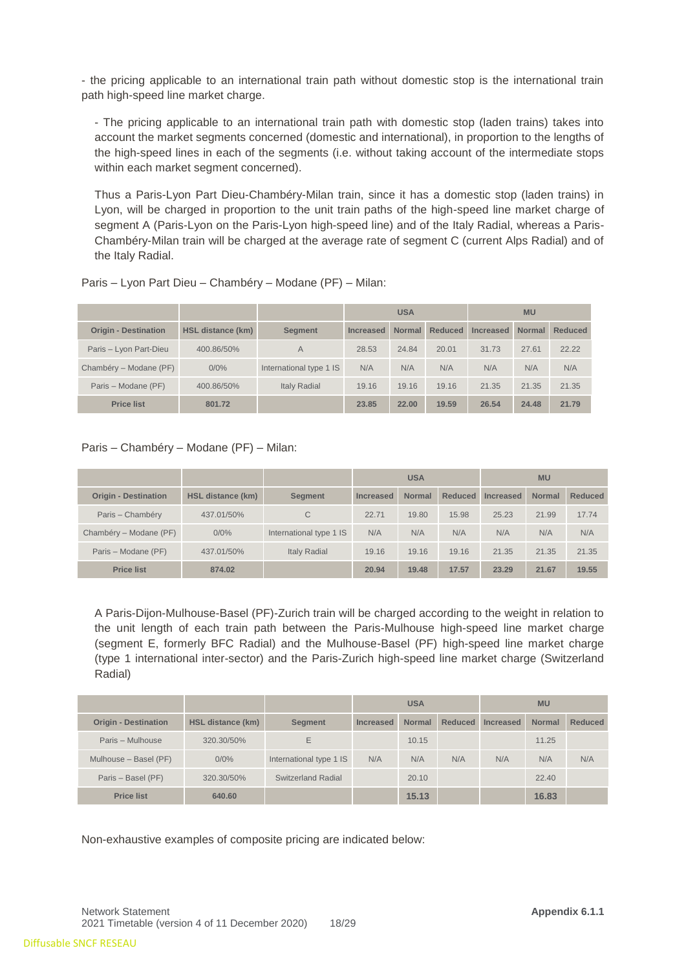- the pricing applicable to an international train path without domestic stop is the international train path high-speed line market charge.

- The pricing applicable to an international train path with domestic stop (laden trains) takes into account the market segments concerned (domestic and international), in proportion to the lengths of the high-speed lines in each of the segments (i.e. without taking account of the intermediate stops within each market segment concerned).

Thus a Paris-Lyon Part Dieu-Chambéry-Milan train, since it has a domestic stop (laden trains) in Lyon, will be charged in proportion to the unit train paths of the high-speed line market charge of segment A (Paris-Lyon on the Paris-Lyon high-speed line) and of the Italy Radial, whereas a Paris-Chambéry-Milan train will be charged at the average rate of segment C (current Alps Radial) and of the Italy Radial.

|                             |                   |                         | <b>USA</b> |               |                | <b>MU</b>        |               |                |  |
|-----------------------------|-------------------|-------------------------|------------|---------------|----------------|------------------|---------------|----------------|--|
| <b>Origin - Destination</b> | HSL distance (km) | <b>Segment</b>          | Increased  | <b>Normal</b> | <b>Reduced</b> | <b>Increased</b> | <b>Normal</b> | <b>Reduced</b> |  |
| Paris - Lyon Part-Dieu      | 400.86/50%        | A                       | 28.53      | 24.84         | 20.01          | 31.73            | 27.61         | 22.22          |  |
| Chambéry – Modane (PF)      | 0/0%              | International type 1 IS | N/A        | N/A           | N/A            | N/A              | N/A           | N/A            |  |
| Paris - Modane (PF)         | 400.86/50%        | <b>Italy Radial</b>     | 19.16      | 19.16         | 19.16          | 21.35            | 21.35         | 21.35          |  |
| <b>Price list</b>           | 801.72            |                         | 23.85      | 22.00         | 19.59          | 26.54            | 24.48         | 21.79          |  |

#### Paris – Lyon Part Dieu – Chambéry – Modane (PF) – Milan:

#### Paris – Chambéry – Modane (PF) – Milan:

|                             |                   |                         | <b>USA</b>       |               |                | <b>MU</b> |               |                |  |
|-----------------------------|-------------------|-------------------------|------------------|---------------|----------------|-----------|---------------|----------------|--|
| <b>Origin - Destination</b> | HSL distance (km) | <b>Segment</b>          | <b>Increased</b> | <b>Normal</b> | <b>Reduced</b> | Increased | <b>Normal</b> | <b>Reduced</b> |  |
| Paris - Chambéry            | 437.01/50%        | C                       | 22.71            | 19.80         | 15.98          | 25.23     | 21.99         | 17.74          |  |
| Chambéry – Modane (PF)      | 0/0%              | International type 1 IS | N/A              | N/A           | N/A            | N/A       | N/A           | N/A            |  |
| Paris - Modane (PF)         | 437.01/50%        | <b>Italy Radial</b>     | 19.16            | 19.16         | 19.16          | 21.35     | 21.35         | 21.35          |  |
| <b>Price list</b>           | 874.02            |                         | 20.94            | 19.48         | 17.57          | 23.29     | 21.67         | 19.55          |  |

A Paris-Dijon-Mulhouse-Basel (PF)-Zurich train will be charged according to the weight in relation to the unit length of each train path between the Paris-Mulhouse high-speed line market charge (segment E, formerly BFC Radial) and the Mulhouse-Basel (PF) high-speed line market charge (type 1 international inter-sector) and the Paris-Zurich high-speed line market charge (Switzerland Radial)

|                             |                          |                         | <b>USA</b> |               |                | <b>MU</b> |               |                |
|-----------------------------|--------------------------|-------------------------|------------|---------------|----------------|-----------|---------------|----------------|
| <b>Origin - Destination</b> | <b>HSL distance (km)</b> | <b>Segment</b>          | Increased  | <b>Normal</b> | <b>Reduced</b> | Increased | <b>Normal</b> | <b>Reduced</b> |
| Paris - Mulhouse            | 320.30/50%               | E                       |            | 10.15         |                |           | 11.25         |                |
| Mulhouse - Basel (PF)       | 0/0%                     | International type 1 IS | N/A        | N/A           | N/A            | N/A       | N/A           | N/A            |
| Paris - Basel (PF)          | 320.30/50%               | Switzerland Radial      |            | 20.10         |                |           | 22.40         |                |
| <b>Price list</b>           | 640.60                   |                         |            | 15.13         |                |           | 16.83         |                |

Non-exhaustive examples of composite pricing are indicated below: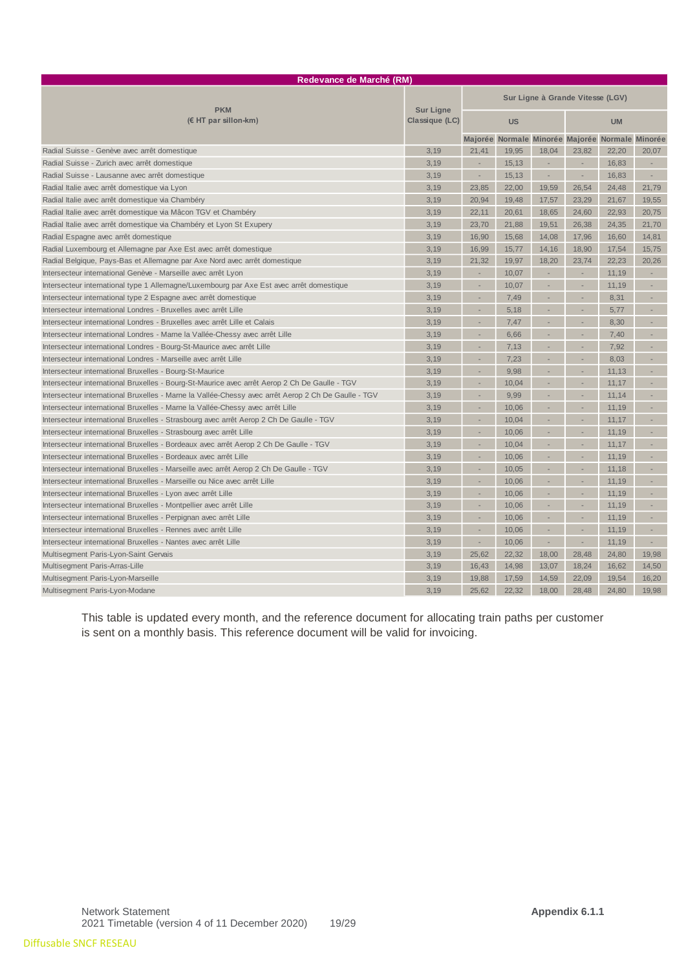| Redevance de Marché (RM)                                                                            |                  |                                  |                                                 |        |                             |       |                          |  |
|-----------------------------------------------------------------------------------------------------|------------------|----------------------------------|-------------------------------------------------|--------|-----------------------------|-------|--------------------------|--|
| <b>PKM</b>                                                                                          | <b>Sur Ligne</b> | Sur Ligne à Grande Vitesse (LGV) |                                                 |        |                             |       |                          |  |
| $(E$ HT par sillon-km)                                                                              | Classique (LC)   | <b>US</b>                        |                                                 |        | <b>UM</b>                   |       |                          |  |
|                                                                                                     |                  |                                  | Majorée Normale Minorée Majorée Normale Minorée |        |                             |       |                          |  |
| Radial Suisse - Genève avec arrêt domestique                                                        | 3,19             | 21,41                            | 19,95                                           | 18,04  | 23,82                       | 22,20 | 20,07                    |  |
| Radial Suisse - Zurich avec arrêt domestique                                                        | 3,19             | ä,                               | 15,13                                           | $\sim$ | $\mathcal{L}_{\mathcal{A}}$ | 16,83 | $\overline{\phantom{a}}$ |  |
| Radial Suisse - Lausanne avec arrêt domestique                                                      | 3,19             |                                  | 15,13                                           | ×,     | $\sim$                      | 16,83 | $\sim$                   |  |
| Radial Italie avec arrêt domestique via Lyon                                                        | 3.19             | 23.85                            | 22.00                                           | 19.59  | 26.54                       | 24.48 | 21.79                    |  |
| Radial Italie avec arrêt domestique via Chambéry                                                    | 3,19             | 20,94                            | 19,48                                           | 17,57  | 23,29                       | 21,67 | 19,55                    |  |
| Radial Italie avec arrêt domestique via Mâcon TGV et Chambéry                                       | 3,19             | 22,11                            | 20,61                                           | 18,65  | 24,60                       | 22,93 | 20,75                    |  |
| Radial Italie avec arrêt domestique via Chambéry et Lyon St Exupery                                 | 3,19             | 23.70                            | 21,88                                           | 19,51  | 26.38                       | 24,35 | 21,70                    |  |
| Radial Espagne avec arrêt domestique                                                                | 3,19             | 16,90                            | 15,68                                           | 14,08  | 17,96                       | 16,60 | 14,81                    |  |
| Radial Luxembourg et Allemagne par Axe Est avec arrêt domestique                                    | 3,19             | 16,99                            | 15,77                                           | 14,16  | 18,90                       | 17,54 | 15,75                    |  |
| Radial Belgique, Pays-Bas et Allemagne par Axe Nord avec arrêt domestique                           | 3,19             | 21,32                            | 19.97                                           | 18,20  | 23,74                       | 22,23 | 20.26                    |  |
| Intersecteur international Genève - Marseille avec arrêt Lyon                                       | 3,19             | i.                               | 10,07                                           | ÷,     | $\overline{\phantom{a}}$    | 11,19 |                          |  |
| Intersecteur international type 1 Allemagne/Luxembourg par Axe Est avec arrêt domestique            | 3,19             | ÷                                | 10,07                                           | ×,     | $\overline{\phantom{a}}$    | 11,19 |                          |  |
| Intersecteur international type 2 Espagne avec arrêt domestique                                     | 3,19             |                                  | 7,49                                            |        |                             | 8,31  |                          |  |
| Intersecteur international Londres - Bruxelles avec arrêt Lille                                     | 3.19             |                                  | 5,18                                            |        |                             | 5.77  |                          |  |
| Intersecteur international Londres - Bruxelles avec arrêt Lille et Calais                           | 3,19             |                                  | 7,47                                            | ÷      | ×,                          | 8,30  |                          |  |
| Intersecteur international Londres - Marne la Vallée-Chessy avec arrêt Lille                        | 3,19             |                                  | 6,66                                            |        |                             | 7,40  |                          |  |
| Intersecteur international Londres - Bourg-St-Maurice avec arrêt Lille                              | 3,19             |                                  | 7,13                                            |        |                             | 7,92  |                          |  |
| Intersecteur international Londres - Marseille avec arrêt Lille                                     | 3,19             |                                  | 7,23                                            |        | ÷,                          | 8,03  |                          |  |
| Intersecteur international Bruxelles - Bourg-St-Maurice                                             | 3,19             |                                  | 9,98                                            |        | i.                          | 11,13 |                          |  |
| Intersecteur international Bruxelles - Bourg-St-Maurice avec arrêt Aerop 2 Ch De Gaulle - TGV       | 3,19             |                                  | 10.04                                           |        |                             | 11,17 |                          |  |
| Intersecteur international Bruxelles - Marne la Vallée-Chessy avec arrêt Aerop 2 Ch De Gaulle - TGV | 3,19             |                                  | 9,99                                            |        | ÷,                          | 11,14 |                          |  |
| Intersecteur international Bruxelles - Marne la Vallée-Chessy avec arrêt Lille                      | 3,19             |                                  | 10,06                                           |        | ä,                          | 11,19 |                          |  |
| Intersecteur international Bruxelles - Strasbourg avec arrêt Aerop 2 Ch De Gaulle - TGV             | 3,19             |                                  | 10,04                                           |        | ÷,                          | 11,17 |                          |  |
| Intersecteur international Bruxelles - Strasbourg avec arrêt Lille                                  | 3.19             |                                  | 10.06                                           |        |                             | 11,19 |                          |  |
| Intersecteur international Bruxelles - Bordeaux avec arrêt Aerop 2 Ch De Gaulle - TGV               | 3,19             |                                  | 10,04                                           |        | ×,                          | 11,17 | ×.                       |  |
| Intersecteur international Bruxelles - Bordeaux avec arrêt Lille                                    | 3,19             |                                  | 10,06                                           |        |                             | 11,19 |                          |  |
| Intersecteur international Bruxelles - Marseille avec arrêt Aerop 2 Ch De Gaulle - TGV              | 3,19             |                                  | 10,05                                           |        | ×,                          | 11,18 |                          |  |
| Intersecteur international Bruxelles - Marseille ou Nice avec arrêt Lille                           | 3,19             |                                  | 10,06                                           |        | ×,                          | 11,19 |                          |  |
| Intersecteur international Bruxelles - Lyon avec arrêt Lille                                        | 3,19             |                                  | 10,06                                           |        |                             | 11,19 |                          |  |
| Intersecteur international Bruxelles - Montpellier avec arrêt Lille                                 | 3,19             |                                  | 10.06                                           |        |                             | 11,19 |                          |  |
| Intersecteur international Bruxelles - Perpignan avec arrêt Lille                                   | 3,19             | ÷                                | 10,06                                           | i.     | ÷,                          | 11,19 | ÷,                       |  |
| Intersecteur international Bruxelles - Rennes avec arrêt Lille                                      | 3,19             |                                  | 10,06                                           |        | $\overline{\phantom{a}}$    | 11,19 | ÷,                       |  |
| Intersecteur international Bruxelles - Nantes avec arrêt Lille                                      | 3,19             |                                  | 10,06                                           | ×,     | $\sim$                      | 11,19 | $\sim$                   |  |
| Multisegment Paris-Lyon-Saint Gervais                                                               | 3,19             | 25,62                            | 22,32                                           | 18,00  | 28,48                       | 24,80 | 19,98                    |  |
| Multisegment Paris-Arras-Lille                                                                      | 3,19             | 16,43                            | 14,98                                           | 13,07  | 18,24                       | 16,62 | 14,50                    |  |
| Multisegment Paris-Lyon-Marseille                                                                   | 3,19             | 19,88                            | 17,59                                           | 14,59  | 22,09                       | 19,54 | 16,20                    |  |
| Multisegment Paris-Lyon-Modane                                                                      | 3,19             | 25.62                            | 22.32                                           | 18.00  | 28.48                       | 24,80 | 19.98                    |  |

This table is updated every month, and the reference document for allocating train paths per customer is sent on a monthly basis. This reference document will be valid for invoicing.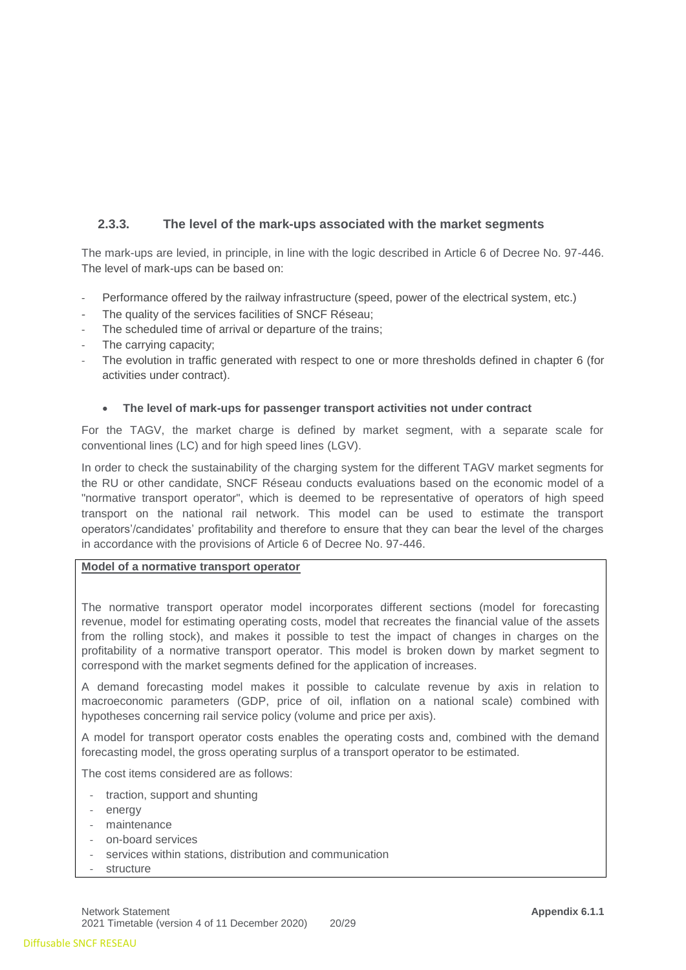## **2.3.3. The level of the mark-ups associated with the market segments**

The mark-ups are levied, in principle, in line with the logic described in Article 6 of Decree No. 97-446. The level of mark-ups can be based on:

- Performance offered by the railway infrastructure (speed, power of the electrical system, etc.)
- The quality of the services facilities of SNCF Réseau:
- The scheduled time of arrival or departure of the trains;
- The carrying capacity;
- The evolution in traffic generated with respect to one or more thresholds defined in chapter 6 (for activities under contract).

#### • **The level of mark-ups for passenger transport activities not under contract**

For the TAGV, the market charge is defined by market segment, with a separate scale for conventional lines (LC) and for high speed lines (LGV).

In order to check the sustainability of the charging system for the different TAGV market segments for the RU or other candidate, SNCF Réseau conducts evaluations based on the economic model of a "normative transport operator", which is deemed to be representative of operators of high speed transport on the national rail network. This model can be used to estimate the transport operators'/candidates' profitability and therefore to ensure that they can bear the level of the charges in accordance with the provisions of Article 6 of Decree No. 97-446.

#### **Model of a normative transport operator**

The normative transport operator model incorporates different sections (model for forecasting revenue, model for estimating operating costs, model that recreates the financial value of the assets from the rolling stock), and makes it possible to test the impact of changes in charges on the profitability of a normative transport operator. This model is broken down by market segment to correspond with the market segments defined for the application of increases.

A demand forecasting model makes it possible to calculate revenue by axis in relation to macroeconomic parameters (GDP, price of oil, inflation on a national scale) combined with hypotheses concerning rail service policy (volume and price per axis).

A model for transport operator costs enables the operating costs and, combined with the demand forecasting model, the gross operating surplus of a transport operator to be estimated.

The cost items considered are as follows:

- traction, support and shunting
- energy
- maintenance
- on-board services
- services within stations, distribution and communication
- structure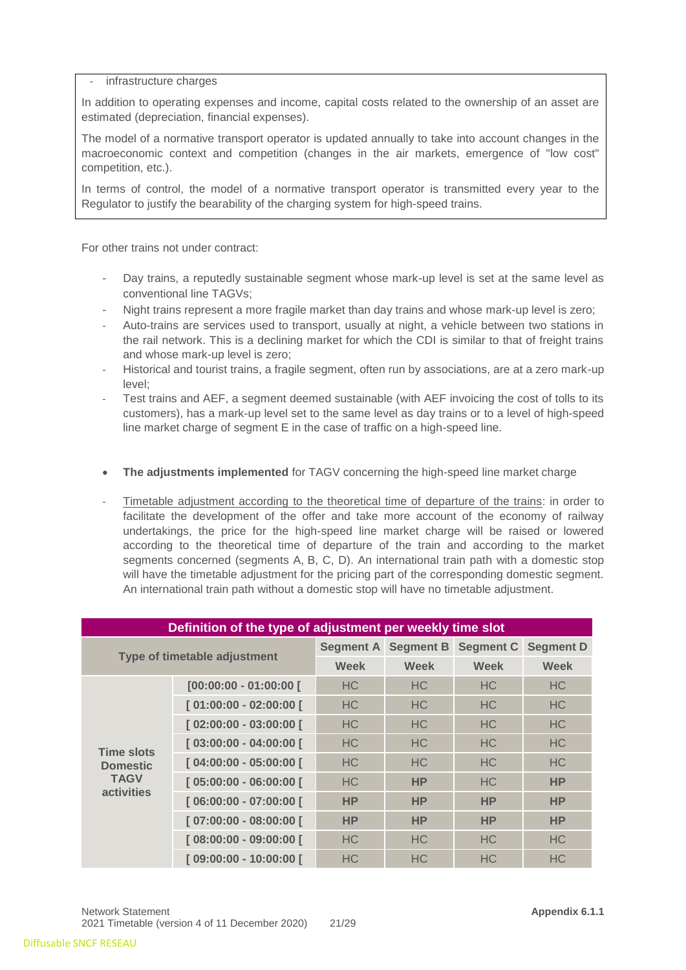#### infrastructure charges

In addition to operating expenses and income, capital costs related to the ownership of an asset are estimated (depreciation, financial expenses).

The model of a normative transport operator is updated annually to take into account changes in the macroeconomic context and competition (changes in the air markets, emergence of "low cost" competition, etc.).

In terms of control, the model of a normative transport operator is transmitted every year to the Regulator to justify the bearability of the charging system for high-speed trains.

For other trains not under contract:

- Day trains, a reputedly sustainable segment whose mark-up level is set at the same level as conventional line TAGVs;
- Night trains represent a more fragile market than day trains and whose mark-up level is zero;
- Auto-trains are services used to transport, usually at night, a vehicle between two stations in the rail network. This is a declining market for which the CDI is similar to that of freight trains and whose mark-up level is zero;
- Historical and tourist trains, a fragile segment, often run by associations, are at a zero mark-up level;
- Test trains and AEF, a segment deemed sustainable (with AEF invoicing the cost of tolls to its customers), has a mark-up level set to the same level as day trains or to a level of high-speed line market charge of segment E in the case of traffic on a high-speed line.
- **The adjustments implemented** for TAGV concerning the high-speed line market charge
- Timetable adjustment according to the theoretical time of departure of the trains: in order to facilitate the development of the offer and take more account of the economy of railway undertakings, the price for the high-speed line market charge will be raised or lowered according to the theoretical time of departure of the train and according to the market segments concerned (segments A, B, C, D). An international train path with a domestic stop will have the timetable adjustment for the pricing part of the corresponding domestic segment. An international train path without a domestic stop will have no timetable adjustment.

| Definition of the type of adjustment per weekly time slot                |                         |                  |                  |                |                  |  |  |
|--------------------------------------------------------------------------|-------------------------|------------------|------------------|----------------|------------------|--|--|
| Type of timetable adjustment                                             |                         | <b>Segment A</b> | <b>Segment B</b> | Segment C      | <b>Segment D</b> |  |  |
|                                                                          |                         | <b>Week</b>      | <b>Week</b>      | <b>Week</b>    | <b>Week</b>      |  |  |
|                                                                          | $[00:00:00 - 01:00:00]$ | <b>HC</b>        | <b>HC</b>        | H <sub>C</sub> | H <sub>C</sub>   |  |  |
| <b>Time slots</b><br><b>Domestic</b><br><b>TAGV</b><br><b>activities</b> | [01:00:00 - 02:00:00 [  | HC.              | <b>HC</b>        | <b>HC</b>      | HC.              |  |  |
|                                                                          | $[02:00:00 - 03:00:00]$ | <b>HC</b>        | <b>HC</b>        | <b>HC</b>      | H <sub>C</sub>   |  |  |
|                                                                          | [03:00:00 - 04:00:00 [  | <b>HC</b>        | H <sub>C</sub>   | H <sub>C</sub> | HC.              |  |  |
|                                                                          | $[04:00:00 - 05:00:00]$ | <b>HC</b>        | <b>HC</b>        | H <sub>C</sub> | H <sub>C</sub>   |  |  |
|                                                                          | [05:00:00 - 06:00:00 [  | <b>HC</b>        | <b>HP</b>        | H <sub>C</sub> | <b>HP</b>        |  |  |
|                                                                          | [06:00:00 - 07:00:00 [  | <b>HP</b>        | <b>HP</b>        | <b>HP</b>      | <b>HP</b>        |  |  |
|                                                                          | [07:00:00 - 08:00:00 ]  | <b>HP</b>        | <b>HP</b>        | <b>HP</b>      | <b>HP</b>        |  |  |
|                                                                          | [08:00:00 - 09:00:00 [  | <b>HC</b>        | <b>HC</b>        | <b>HC</b>      | <b>HC</b>        |  |  |
|                                                                          | [09:00:00 - 10:00:00 [  | <b>HC</b>        | <b>HC</b>        | <b>HC</b>      | <b>HC</b>        |  |  |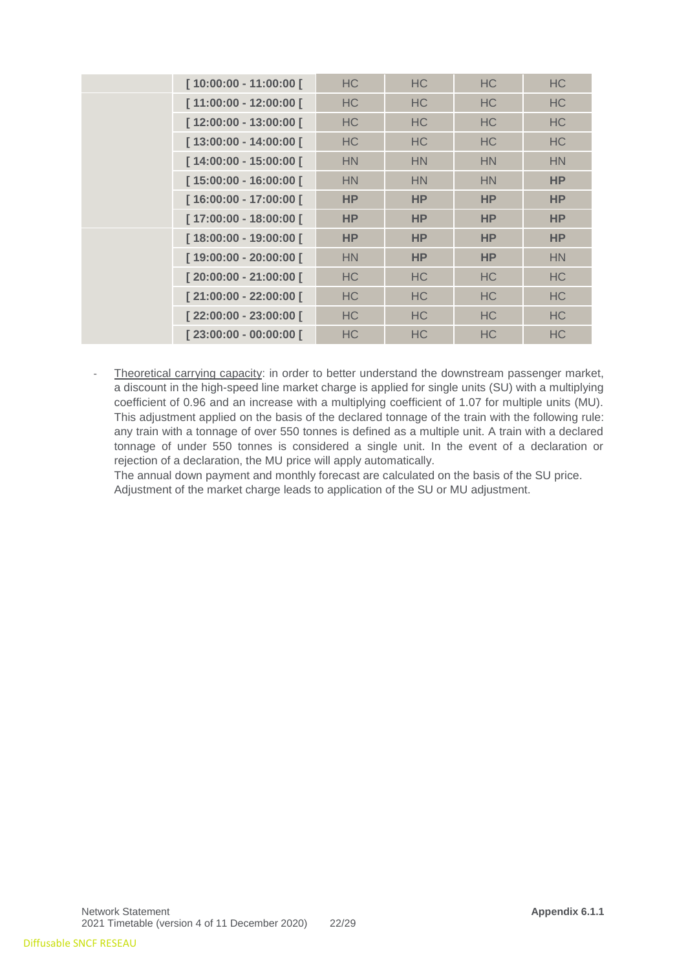|  | [10:00:00 - 11:00:00 [ | <b>HC</b>      | <b>HC</b>      | <b>HC</b>      | <b>HC</b> |
|--|------------------------|----------------|----------------|----------------|-----------|
|  | [11:00:00 - 12:00:00 [ | <b>HC</b>      | HC             | <b>HC</b>      | <b>HC</b> |
|  | [12:00:00 - 13:00:00 [ | HC             | HC             | <b>HC</b>      | <b>HC</b> |
|  | [13:00:00 - 14:00:00 [ | H <sub>C</sub> | HC.            | <b>HC</b>      | <b>HC</b> |
|  | [14:00:00 - 15:00:00 [ | <b>HN</b>      | <b>HN</b>      | <b>HN</b>      | <b>HN</b> |
|  | [15:00:00 - 16:00:00 [ | HN             | <b>HN</b>      | <b>HN</b>      | <b>HP</b> |
|  | [16:00:00 - 17:00:00 [ | <b>HP</b>      | <b>HP</b>      | <b>HP</b>      | <b>HP</b> |
|  | [17:00:00 - 18:00:00 [ | <b>HP</b>      | <b>HP</b>      | <b>HP</b>      | <b>HP</b> |
|  | [18:00:00 - 19:00:00 [ | <b>HP</b>      | <b>HP</b>      | <b>HP</b>      | <b>HP</b> |
|  | [19:00:00 - 20:00:00 [ | <b>HN</b>      | <b>HP</b>      | <b>HP</b>      | <b>HN</b> |
|  | [20:00:00 - 21:00:00 [ | <b>HC</b>      | HC.            | H <sub>C</sub> | <b>HC</b> |
|  | [21:00:00 - 22:00:00 [ | <b>HC</b>      | HC.            | <b>HC</b>      | <b>HC</b> |
|  | [22:00:00 - 23:00:00 [ | H <sub>C</sub> | HC.            | H <sub>C</sub> | HC.       |
|  | [23:00:00 - 00:00:00 [ | <b>HC</b>      | H <sub>C</sub> | <b>HC</b>      | <b>HC</b> |

Theoretical carrying capacity: in order to better understand the downstream passenger market, a discount in the high-speed line market charge is applied for single units (SU) with a multiplying coefficient of 0.96 and an increase with a multiplying coefficient of 1.07 for multiple units (MU). This adjustment applied on the basis of the declared tonnage of the train with the following rule: any train with a tonnage of over 550 tonnes is defined as a multiple unit. A train with a declared tonnage of under 550 tonnes is considered a single unit. In the event of a declaration or rejection of a declaration, the MU price will apply automatically.

The annual down payment and monthly forecast are calculated on the basis of the SU price. Adjustment of the market charge leads to application of the SU or MU adjustment.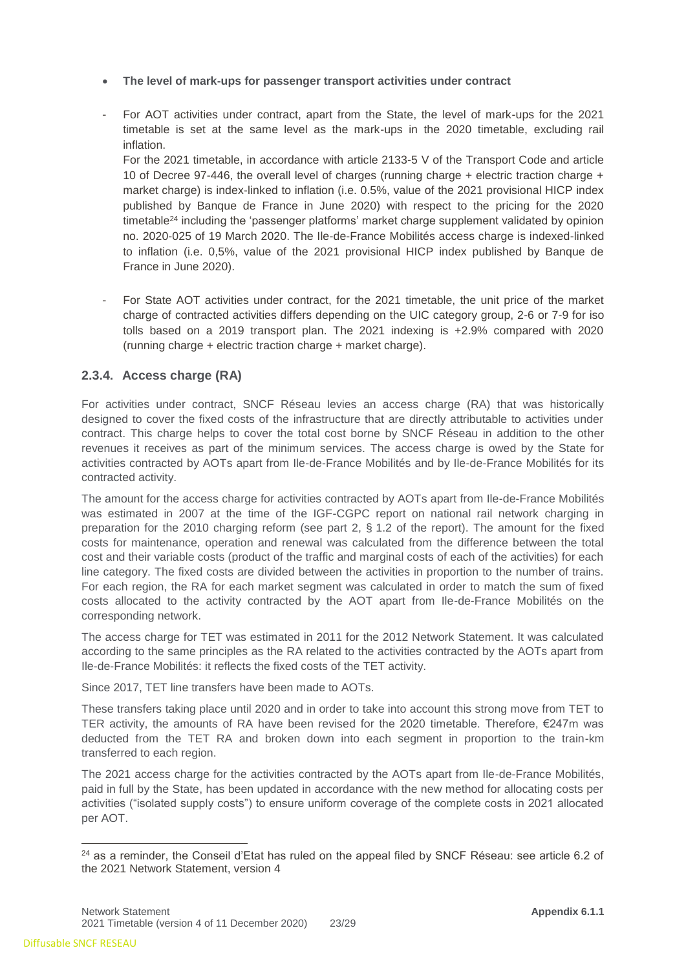- **The level of mark-ups for passenger transport activities under contract**
- For AOT activities under contract, apart from the State, the level of mark-ups for the 2021 timetable is set at the same level as the mark-ups in the 2020 timetable, excluding rail inflation.

For the 2021 timetable, in accordance with article 2133-5 V of the Transport Code and article 10 of Decree 97-446, the overall level of charges (running charge + electric traction charge + market charge) is index-linked to inflation (i.e. 0.5%, value of the 2021 provisional HICP index published by Banque de France in June 2020) with respect to the pricing for the 2020 timetable<sup>24</sup> including the 'passenger platforms' market charge supplement validated by opinion no. 2020-025 of 19 March 2020. The Ile-de-France Mobilités access charge is indexed-linked to inflation (i.e. 0,5%, value of the 2021 provisional HICP index published by Banque de France in June 2020).

- For State AOT activities under contract, for the 2021 timetable, the unit price of the market charge of contracted activities differs depending on the UIC category group, 2-6 or 7-9 for iso tolls based on a 2019 transport plan. The 2021 indexing is +2.9% compared with 2020 (running charge + electric traction charge + market charge).

#### **2.3.4. Access charge (RA)**

For activities under contract, SNCF Réseau levies an access charge (RA) that was historically designed to cover the fixed costs of the infrastructure that are directly attributable to activities under contract. This charge helps to cover the total cost borne by SNCF Réseau in addition to the other revenues it receives as part of the minimum services. The access charge is owed by the State for activities contracted by AOTs apart from Ile-de-France Mobilités and by Ile-de-France Mobilités for its contracted activity.

The amount for the access charge for activities contracted by AOTs apart from Ile-de-France Mobilités was estimated in 2007 at the time of the IGF-CGPC report on national rail network charging in preparation for the 2010 charging reform (see part 2, § 1.2 of the report). The amount for the fixed costs for maintenance, operation and renewal was calculated from the difference between the total cost and their variable costs (product of the traffic and marginal costs of each of the activities) for each line category. The fixed costs are divided between the activities in proportion to the number of trains. For each region, the RA for each market segment was calculated in order to match the sum of fixed costs allocated to the activity contracted by the AOT apart from Ile-de-France Mobilités on the corresponding network.

The access charge for TET was estimated in 2011 for the 2012 Network Statement. It was calculated according to the same principles as the RA related to the activities contracted by the AOTs apart from Ile-de-France Mobilités: it reflects the fixed costs of the TET activity.

Since 2017, TET line transfers have been made to AOTs.

These transfers taking place until 2020 and in order to take into account this strong move from TET to TER activity, the amounts of RA have been revised for the 2020 timetable. Therefore, €247m was deducted from the TET RA and broken down into each segment in proportion to the train-km transferred to each region.

The 2021 access charge for the activities contracted by the AOTs apart from Ile-de-France Mobilités, paid in full by the State, has been updated in accordance with the new method for allocating costs per activities ("isolated supply costs") to ensure uniform coverage of the complete costs in 2021 allocated per AOT.

 $24$  as a reminder, the Conseil d'Etat has ruled on the appeal filed by SNCF Réseau: see article 6.2 of the 2021 Network Statement, version 4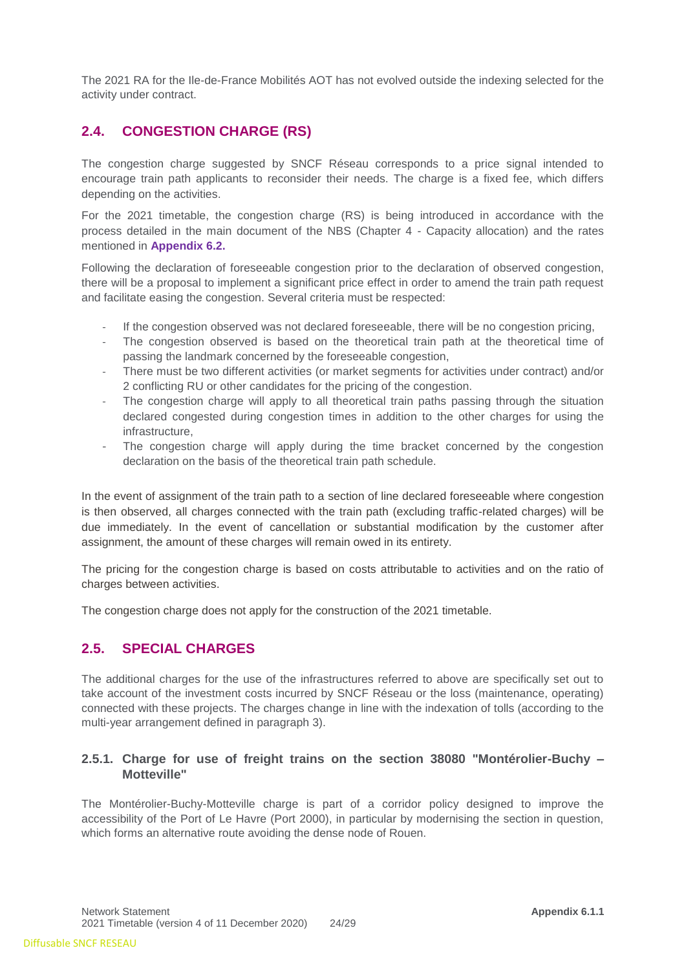The 2021 RA for the Ile-de-France Mobilités AOT has not evolved outside the indexing selected for the activity under contract.

## <span id="page-23-0"></span>**2.4. CONGESTION CHARGE (RS)**

The congestion charge suggested by SNCF Réseau corresponds to a price signal intended to encourage train path applicants to reconsider their needs. The charge is a fixed fee, which differs depending on the activities.

For the 2021 timetable, the congestion charge (RS) is being introduced in accordance with the process detailed in the main document of the NBS (Chapter 4 - Capacity allocation) and the rates mentioned in **Appendix 6.2.**

Following the declaration of foreseeable congestion prior to the declaration of observed congestion, there will be a proposal to implement a significant price effect in order to amend the train path request and facilitate easing the congestion. Several criteria must be respected:

- If the congestion observed was not declared foreseeable, there will be no congestion pricing,
- The congestion observed is based on the theoretical train path at the theoretical time of passing the landmark concerned by the foreseeable congestion,
- There must be two different activities (or market segments for activities under contract) and/or 2 conflicting RU or other candidates for the pricing of the congestion.
- The congestion charge will apply to all theoretical train paths passing through the situation declared congested during congestion times in addition to the other charges for using the infrastructure,
- The congestion charge will apply during the time bracket concerned by the congestion declaration on the basis of the theoretical train path schedule.

In the event of assignment of the train path to a section of line declared foreseeable where congestion is then observed, all charges connected with the train path (excluding traffic-related charges) will be due immediately. In the event of cancellation or substantial modification by the customer after assignment, the amount of these charges will remain owed in its entirety.

The pricing for the congestion charge is based on costs attributable to activities and on the ratio of charges between activities.

The congestion charge does not apply for the construction of the 2021 timetable.

## <span id="page-23-1"></span>**2.5. SPECIAL CHARGES**

The additional charges for the use of the infrastructures referred to above are specifically set out to take account of the investment costs incurred by SNCF Réseau or the loss (maintenance, operating) connected with these projects. The charges change in line with the indexation of tolls (according to the multi-year arrangement defined in paragraph 3).

## **2.5.1. Charge for use of freight trains on the section 38080 "Montérolier-Buchy – Motteville"**

The Montérolier-Buchy-Motteville charge is part of a corridor policy designed to improve the accessibility of the Port of Le Havre (Port 2000), in particular by modernising the section in question, which forms an alternative route avoiding the dense node of Rouen.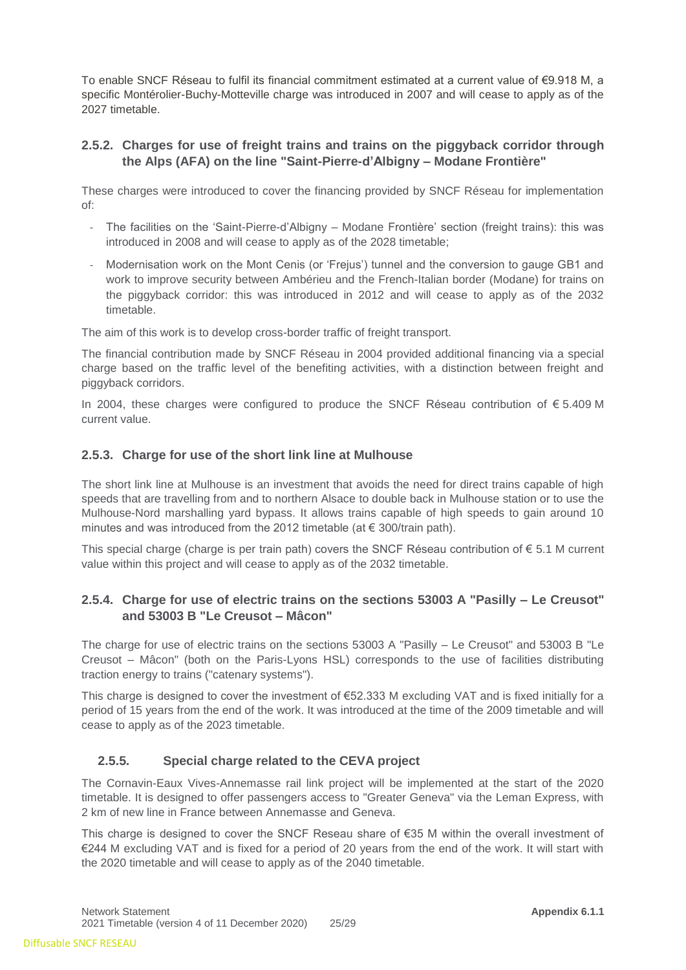To enable SNCF Réseau to fulfil its financial commitment estimated at a current value of €9.918 M, a specific Montérolier-Buchy-Motteville charge was introduced in 2007 and will cease to apply as of the 2027 timetable.

## **2.5.2. Charges for use of freight trains and trains on the piggyback corridor through the Alps (AFA) on the line "Saint-Pierre-d'Albigny – Modane Frontière"**

These charges were introduced to cover the financing provided by SNCF Réseau for implementation of:

- The facilities on the 'Saint-Pierre-d'Albigny Modane Frontière' section (freight trains): this was introduced in 2008 and will cease to apply as of the 2028 timetable;
- Modernisation work on the Mont Cenis (or 'Frejus') tunnel and the conversion to gauge GB1 and work to improve security between Ambérieu and the French-Italian border (Modane) for trains on the piggyback corridor: this was introduced in 2012 and will cease to apply as of the 2032 timetable.

The aim of this work is to develop cross-border traffic of freight transport.

The financial contribution made by SNCF Réseau in 2004 provided additional financing via a special charge based on the traffic level of the benefiting activities, with a distinction between freight and piggyback corridors.

In 2004, these charges were configured to produce the SNCF Réseau contribution of € 5.409 M current value.

#### **2.5.3. Charge for use of the short link line at Mulhouse**

The short link line at Mulhouse is an investment that avoids the need for direct trains capable of high speeds that are travelling from and to northern Alsace to double back in Mulhouse station or to use the Mulhouse-Nord marshalling yard bypass. It allows trains capable of high speeds to gain around 10 minutes and was introduced from the 2012 timetable (at  $\epsilon$  300/train path).

This special charge (charge is per train path) covers the SNCF Réseau contribution of  $\epsilon$  5.1 M current value within this project and will cease to apply as of the 2032 timetable.

## **2.5.4. Charge for use of electric trains on the sections 53003 A "Pasilly – Le Creusot" and 53003 B "Le Creusot – Mâcon"**

The charge for use of electric trains on the sections 53003 A "Pasilly – Le Creusot" and 53003 B "Le Creusot – Mâcon" (both on the Paris-Lyons HSL) corresponds to the use of facilities distributing traction energy to trains ("catenary systems").

This charge is designed to cover the investment of €52.333 M excluding VAT and is fixed initially for a period of 15 years from the end of the work. It was introduced at the time of the 2009 timetable and will cease to apply as of the 2023 timetable.

## **2.5.5. Special charge related to the CEVA project**

The Cornavin-Eaux Vives-Annemasse rail link project will be implemented at the start of the 2020 timetable. It is designed to offer passengers access to "Greater Geneva" via the Leman Express, with 2 km of new line in France between Annemasse and Geneva.

This charge is designed to cover the SNCF Reseau share of €35 M within the overall investment of €244 M excluding VAT and is fixed for a period of 20 years from the end of the work. It will start with the 2020 timetable and will cease to apply as of the 2040 timetable.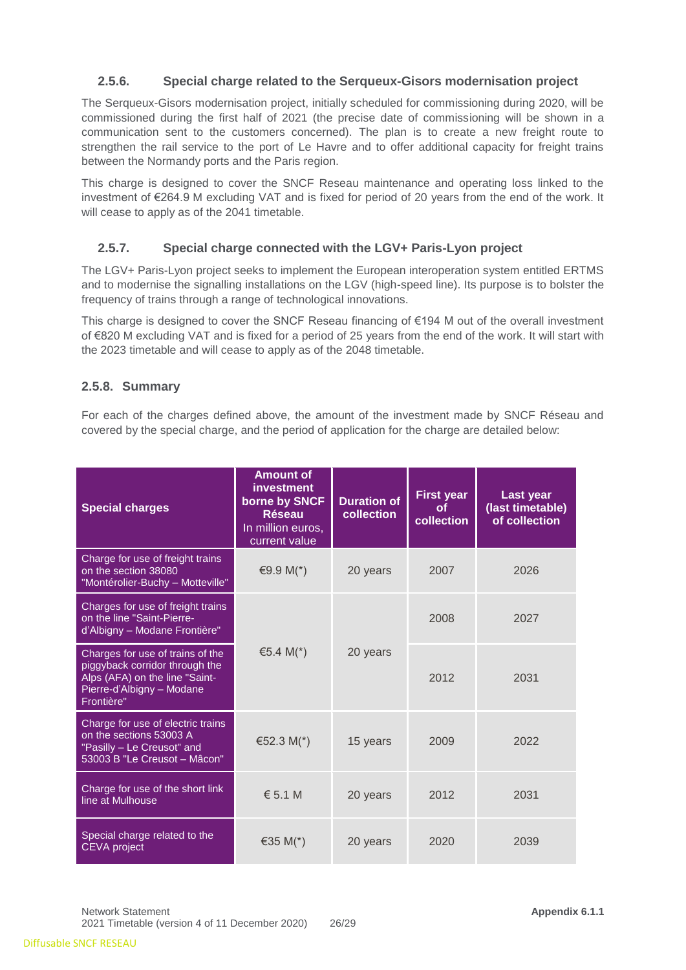## **2.5.6. Special charge related to the Serqueux-Gisors modernisation project**

The Serqueux-Gisors modernisation project, initially scheduled for commissioning during 2020, will be commissioned during the first half of 2021 (the precise date of commissioning will be shown in a communication sent to the customers concerned). The plan is to create a new freight route to strengthen the rail service to the port of Le Havre and to offer additional capacity for freight trains between the Normandy ports and the Paris region.

This charge is designed to cover the SNCF Reseau maintenance and operating loss linked to the investment of €264.9 M excluding VAT and is fixed for period of 20 years from the end of the work. It will cease to apply as of the 2041 timetable.

## **2.5.7. Special charge connected with the LGV+ Paris-Lyon project**

The LGV+ Paris-Lyon project seeks to implement the European interoperation system entitled ERTMS and to modernise the signalling installations on the LGV (high-speed line). Its purpose is to bolster the frequency of trains through a range of technological innovations.

This charge is designed to cover the SNCF Reseau financing of €194 M out of the overall investment of €820 M excluding VAT and is fixed for a period of 25 years from the end of the work. It will start with the 2023 timetable and will cease to apply as of the 2048 timetable.

## **2.5.8. Summary**

For each of the charges defined above, the amount of the investment made by SNCF Réseau and covered by the special charge, and the period of application for the charge are detailed below:

| <b>Special charges</b>                                                                                                                          | <b>Amount of</b><br>investment<br>borne by SNCF<br><b>Réseau</b><br>In million euros,<br>current value | <b>Duration of</b><br>collection | <b>First year</b><br><b>of</b><br>collection | Last year<br>(last timetable)<br>of collection |
|-------------------------------------------------------------------------------------------------------------------------------------------------|--------------------------------------------------------------------------------------------------------|----------------------------------|----------------------------------------------|------------------------------------------------|
| Charge for use of freight trains<br>on the section 38080<br>"Montérolier-Buchy - Motteville"                                                    | €9.9 M(*)                                                                                              | 20 years                         | 2007                                         | 2026                                           |
| Charges for use of freight trains<br>on the line "Saint-Pierre-<br>d'Albigny - Modane Frontière"                                                |                                                                                                        |                                  | 2008                                         | 2027                                           |
| Charges for use of trains of the<br>piggyback corridor through the<br>Alps (AFA) on the line "Saint-<br>Pierre-d'Albigny - Modane<br>Frontière" | €5.4 M(*)                                                                                              | 20 years                         | 2012                                         | 2031                                           |
| Charge for use of electric trains<br>on the sections 53003 A<br>"Pasilly - Le Creusot" and<br>53003 B "Le Creusot - Mâcon"                      | €52.3 M(*)                                                                                             | 15 years                         | 2009                                         | 2022                                           |
| Charge for use of the short link<br>line at Mulhouse                                                                                            | $\epsilon$ 5.1 M                                                                                       | 20 years                         | 2012                                         | 2031                                           |
| Special charge related to the<br><b>CEVA</b> project                                                                                            | €35 M( $*$ )                                                                                           | 20 years                         | 2020                                         | 2039                                           |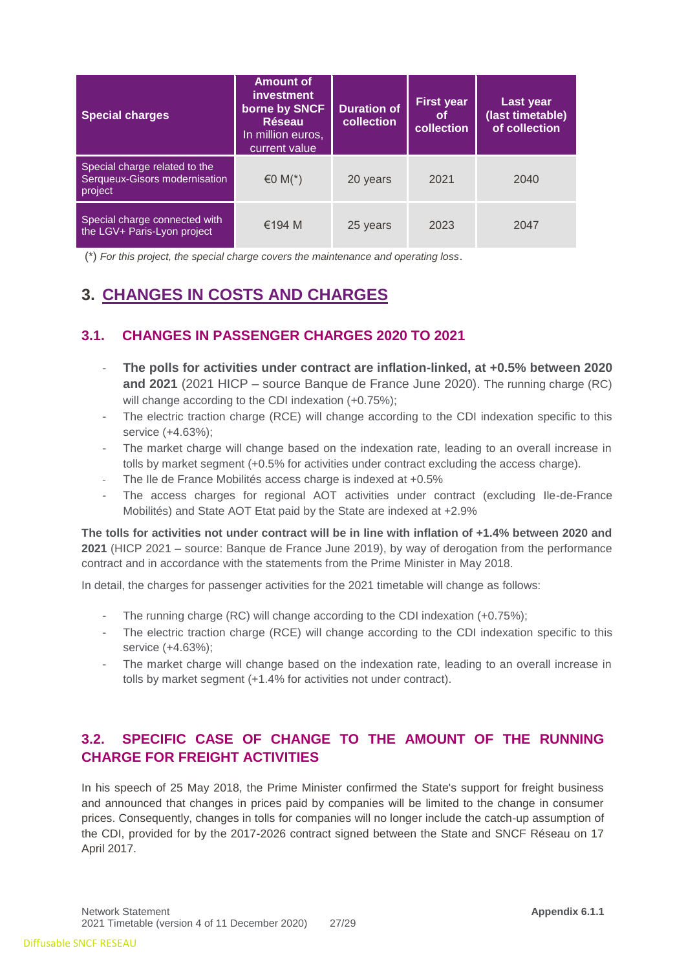| <b>Special charges</b>                                                    | Amount of<br><i>investment</i><br>borne by SNCF<br><b>Réseau</b><br>In million euros,<br>current value | <b>Duration of</b><br>collection | <b>First year</b><br>0t<br>collection | Last year<br>(last timetable)<br>of collection |
|---------------------------------------------------------------------------|--------------------------------------------------------------------------------------------------------|----------------------------------|---------------------------------------|------------------------------------------------|
| Special charge related to the<br>Serqueux-Gisors modernisation<br>project | €0 M( $*$ )                                                                                            | 20 years                         | 2021                                  | 2040                                           |
| Special charge connected with<br>the LGV+ Paris-Lyon project              | €194 M                                                                                                 | 25 years                         | 2023                                  | 2047                                           |

(\*) *For this project, the special charge covers the maintenance and operating loss*.

# <span id="page-26-0"></span>**3. CHANGES IN COSTS AND CHARGES**

## <span id="page-26-1"></span>**3.1. CHANGES IN PASSENGER CHARGES 2020 TO 2021**

- **The polls for activities under contract are inflation-linked, at +0.5% between 2020 and 2021** (2021 HICP – source Banque de France June 2020). The running charge (RC) will change according to the CDI indexation  $(+0.75\%)$ ;
- The electric traction charge (RCE) will change according to the CDI indexation specific to this service (+4.63%);
- The market charge will change based on the indexation rate, leading to an overall increase in tolls by market segment (+0.5% for activities under contract excluding the access charge).
- The Ile de France Mobilités access charge is indexed at +0.5%
- The access charges for regional AOT activities under contract (excluding Ile-de-France Mobilités) and State AOT Etat paid by the State are indexed at +2.9%

**The tolls for activities not under contract will be in line with inflation of +1.4% between 2020 and 2021** (HICP 2021 – source: Banque de France June 2019), by way of derogation from the performance contract and in accordance with the statements from the Prime Minister in May 2018.

In detail, the charges for passenger activities for the 2021 timetable will change as follows:

- The running charge (RC) will change according to the CDI indexation (+0.75%);
- The electric traction charge (RCE) will change according to the CDI indexation specific to this service (+4.63%);
- The market charge will change based on the indexation rate, leading to an overall increase in tolls by market segment (+1.4% for activities not under contract).

# <span id="page-26-2"></span>**3.2. SPECIFIC CASE OF CHANGE TO THE AMOUNT OF THE RUNNING CHARGE FOR FREIGHT ACTIVITIES**

In his speech of 25 May 2018, the Prime Minister confirmed the State's support for freight business and announced that changes in prices paid by companies will be limited to the change in consumer prices. Consequently, changes in tolls for companies will no longer include the catch-up assumption of the CDI, provided for by the 2017-2026 contract signed between the State and SNCF Réseau on 17 April 2017.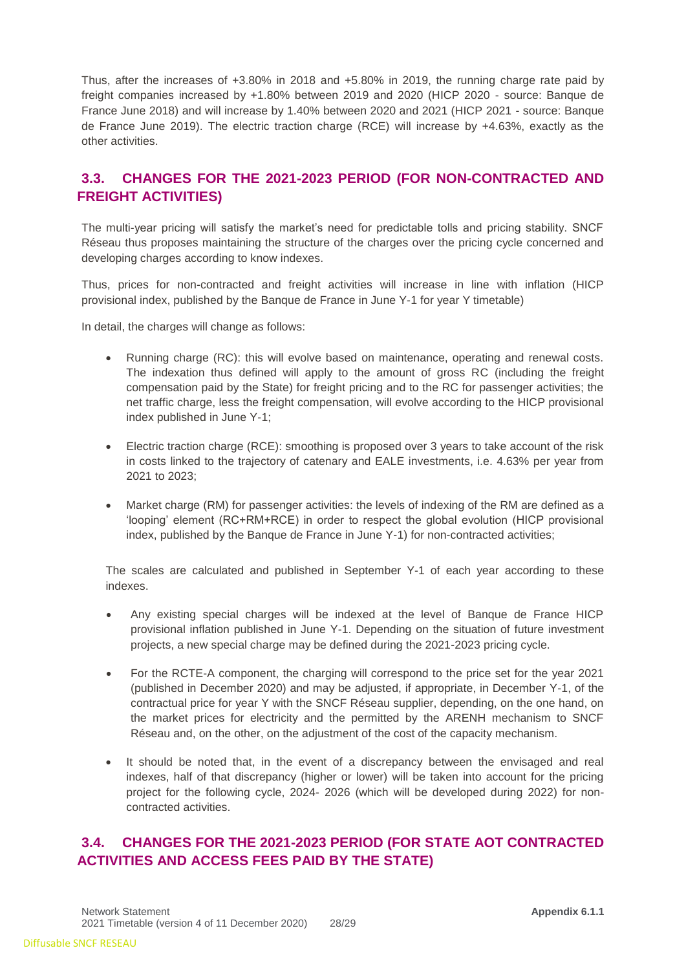Thus, after the increases of +3.80% in 2018 and +5.80% in 2019, the running charge rate paid by freight companies increased by +1.80% between 2019 and 2020 (HICP 2020 - source: Banque de France June 2018) and will increase by 1.40% between 2020 and 2021 (HICP 2021 - source: Banque de France June 2019). The electric traction charge (RCE) will increase by +4.63%, exactly as the other activities.

## <span id="page-27-0"></span>**3.3. CHANGES FOR THE 2021-2023 PERIOD (FOR NON-CONTRACTED AND FREIGHT ACTIVITIES)**

The multi-year pricing will satisfy the market's need for predictable tolls and pricing stability. SNCF Réseau thus proposes maintaining the structure of the charges over the pricing cycle concerned and developing charges according to know indexes.

Thus, prices for non-contracted and freight activities will increase in line with inflation (HICP provisional index, published by the Banque de France in June Y-1 for year Y timetable)

In detail, the charges will change as follows:

- Running charge (RC): this will evolve based on maintenance, operating and renewal costs. The indexation thus defined will apply to the amount of gross RC (including the freight compensation paid by the State) for freight pricing and to the RC for passenger activities; the net traffic charge, less the freight compensation, will evolve according to the HICP provisional index published in June Y-1;
- Electric traction charge (RCE): smoothing is proposed over 3 years to take account of the risk in costs linked to the trajectory of catenary and EALE investments, i.e. 4.63% per year from 2021 to 2023;
- Market charge (RM) for passenger activities: the levels of indexing of the RM are defined as a 'looping' element (RC+RM+RCE) in order to respect the global evolution (HICP provisional index, published by the Banque de France in June Y-1) for non-contracted activities;

The scales are calculated and published in September Y-1 of each year according to these indexes.

- Any existing special charges will be indexed at the level of Banque de France HICP provisional inflation published in June Y-1. Depending on the situation of future investment projects, a new special charge may be defined during the 2021-2023 pricing cycle.
- For the RCTE-A component, the charging will correspond to the price set for the year 2021 (published in December 2020) and may be adjusted, if appropriate, in December Y-1, of the contractual price for year Y with the SNCF Réseau supplier, depending, on the one hand, on the market prices for electricity and the permitted by the ARENH mechanism to SNCF Réseau and, on the other, on the adjustment of the cost of the capacity mechanism.
- It should be noted that, in the event of a discrepancy between the envisaged and real indexes, half of that discrepancy (higher or lower) will be taken into account for the pricing project for the following cycle, 2024- 2026 (which will be developed during 2022) for noncontracted activities.

## <span id="page-27-1"></span>**3.4. CHANGES FOR THE 2021-2023 PERIOD (FOR STATE AOT CONTRACTED ACTIVITIES AND ACCESS FEES PAID BY THE STATE)**